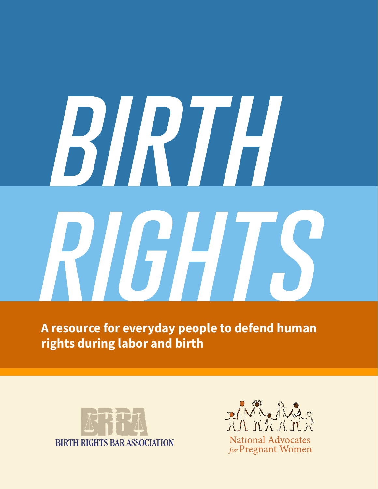# BIRTH RIGHTS

**A resource for everyday people to defend human rights during labor and birth** 





for Pregnant Women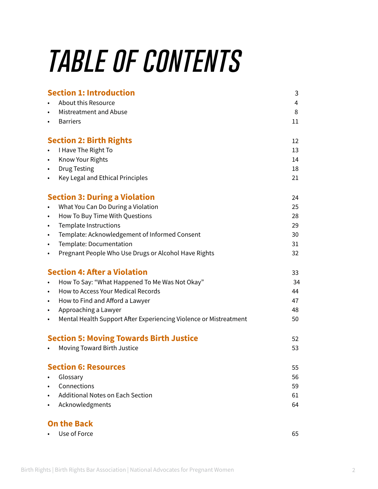# *table of contents*

| <b>Section 1: Introduction</b>                                                 | 3  |
|--------------------------------------------------------------------------------|----|
| About this Resource<br>$\bullet$                                               | 4  |
| Mistreatment and Abuse<br>$\bullet$                                            | 8  |
| <b>Barriers</b><br>$\bullet$                                                   | 11 |
| <b>Section 2: Birth Rights</b>                                                 | 12 |
| I Have The Right To                                                            | 13 |
| Know Your Rights<br>$\bullet$                                                  | 14 |
| <b>Drug Testing</b><br>$\bullet$                                               | 18 |
| Key Legal and Ethical Principles<br>$\bullet$                                  | 21 |
| <b>Section 3: During a Violation</b>                                           | 24 |
| What You Can Do During a Violation<br>$\bullet$                                | 25 |
| How To Buy Time With Questions<br>$\bullet$                                    | 28 |
| <b>Template Instructions</b><br>$\bullet$                                      | 29 |
| Template: Acknowledgement of Informed Consent<br>$\bullet$                     | 30 |
| Template: Documentation<br>$\bullet$                                           | 31 |
| Pregnant People Who Use Drugs or Alcohol Have Rights<br>$\bullet$              | 32 |
| <b>Section 4: After a Violation</b>                                            | 33 |
| How To Say: "What Happened To Me Was Not Okay"<br>$\bullet$                    | 34 |
| <b>How to Access Your Medical Records</b><br>$\bullet$                         | 44 |
| How to Find and Afford a Lawyer<br>$\bullet$                                   | 47 |
| Approaching a Lawyer<br>$\bullet$                                              | 48 |
| Mental Health Support After Experiencing Violence or Mistreatment<br>$\bullet$ | 50 |
| <b>Section 5: Moving Towards Birth Justice</b>                                 | 52 |
| Moving Toward Birth Justice                                                    | 53 |
| <b>Section 6: Resources</b>                                                    | 55 |
| Glossary                                                                       | 56 |
| Connections<br>$\bullet$                                                       | 59 |
| <b>Additional Notes on Each Section</b><br>$\bullet$                           | 61 |
| Acknowledgments<br>$\bullet$                                                   | 64 |
| <b>On the Back</b>                                                             |    |
| Use of Force                                                                   | 65 |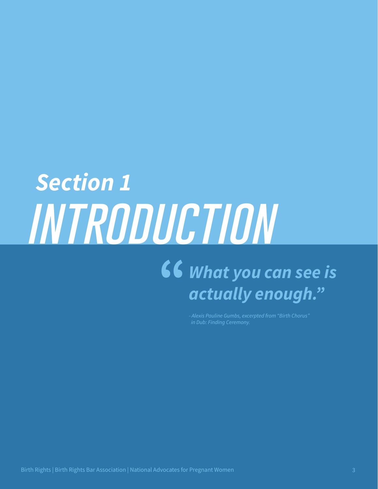# *introduction What you can see is actually enough." Section 1*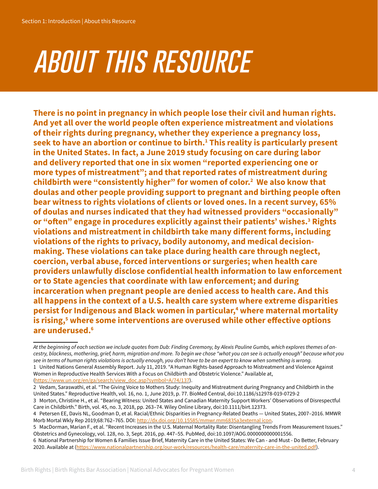# *about this resource*

**There is no point in pregnancy in which people lose their civil and human rights. And yet all over the world people often experience mistreatment and violations of their rights during pregnancy, whether they experience a pregnancy loss, seek to have an abortion or continue to birth.1 This reality is particularly present in the United States. In fact, a June 2019 study focusing on care during labor and delivery reported that one in six women "reported experiencing one or more types of mistreatment"; and that reported rates of mistreatment during childbirth were "consistently higher" for women of color.2 We also know that doulas and other people providing support to pregnant and birthing people often bear witness to rights violations of clients or loved ones. In a recent survey, 65% of doulas and nurses indicated that they had witnessed providers "occasionally"**  or "often" engage in procedures explicitly against their patients' wishes.<sup>3</sup> Rights **violations and mistreatment in childbirth take many different forms, including violations of the rights to privacy, bodily autonomy, and medical decisionmaking. These violations can take place during health care through neglect, coercion, verbal abuse, forced interventions or surgeries; when health care providers unlawfully disclose confidential health information to law enforcement or to State agencies that coordinate with law enforcement; and during incarceration when pregnant people are denied access to health care. And this all happens in the context of a U.S. health care system where extreme disparities persist for Indigenous and Black women in particular,4 where maternal mortality is rising,5 where some interventions are overused while other effective options are underused.6**

Women in Reproductive Health Services With a Focus on Childbirth and Obstetric Violence." Available at, ([https://www.un.org/en/ga/search/view\\_doc.asp?symbol=A/74/137\)](https://www.un.org/en/ga/search/view_doc.asp?symbol=A/74/137).

*At the beginning of each section we include quotes from Dub: Finding Ceremony, by Alexis Pauline Gumbs, which explores themes of ancestry, blackness, mothering, grief, harm, migration and more. To begin we chose "what you can see is actually enough" because what you see in terms of human rights violations is actually enough, you don't have to be an expert to know when something is wrong.*  1 United Nations General Assembly Report. July 11, 2019. "A Human Rights-based Approach to Mistreatment and Violence Against

<sup>2</sup> Vedam, Saraswathi, et al. "The Giving Voice to Mothers Study: Inequity and Mistreatment during Pregnancy and Childbirth in the United States." Reproductive Health, vol. 16, no. 1, June 2019, p. 77. BioMed Central, doi:[10.1186/s12978-019-0729-2](file:///C:\Users\ILusero\Downloads\10.1186\s12978-019-0729-2)

<sup>3</sup> Morton, Christine H., et al. "Bearing Witness: United States and Canadian Maternity Support Workers' Observations of Disrespectful Care in Childbirth." Birth, vol. 45, no. 3, 2018, pp. 263–74. Wiley Online Library, doi:[10.1111/birt.12373](https://doi.org/10.1111/birt.12373).

<sup>4</sup> Petersen EE, Davis NL, Goodman D, et al. Racial/Ethnic Disparities in Pregnancy-Related Deaths — United States, 2007–2016. MMWR Morb Mortal Wkly Rep 2019;68:762–765. DOI: [http://dx.doi.org/10.15585/mmwr.mm6835a3external icon](http://dx.doi.org/10.15585/mmwr.mm6835a3).

<sup>5</sup> MacDorman, Marian F., et al. "Recent Increases in the U.S. Maternal Mortality Rate: Disentangling Trends From Measurement Issues." Obstetrics and Gynecology, vol. 128, no. 3, Sept. 2016, pp. 447–55. PubMed, doi[:10.1097/AOG.0000000000001556](https://doi.org/10.1097/AOG.0000000000001556).

<sup>6</sup> National Partnership for Women & Families Issue Brief, Maternity Care in the United States: We Can - and Must - Do Better, February 2020. Available at ([https://www.nationalpartnership.org/our-work/resources/health-care/maternity-](https://www.nationalpartnership.org/our-work/resources/health-care/maternity/evidence-based-maternity-care.pdf)care-in-the-united.pdf).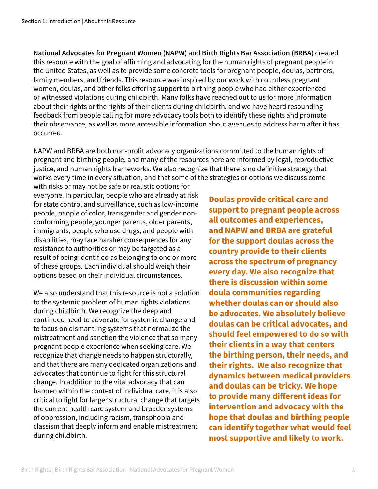**National Advocates for Pregnant Women (NAPW)** and **Birth Rights Bar Association (BRBA)** created this resource with the goal of affirming and advocating for the human rights of pregnant people in the United States, as well as to provide some concrete tools for pregnant people, doulas, partners, family members, and friends. This resource was inspired by our work with countless pregnant women, doulas, and other folks offering support to birthing people who had either experienced or witnessed violations during childbirth. Many folks have reached out to us for more information about their rights or the rights of their clients during childbirth, and we have heard resounding feedback from people calling for more advocacy tools both to identify these rights and promote their observance, as well as more accessible information about avenues to address harm after it has occurred.

NAPW and BRBA are both non-profit advocacy organizations committed to the human rights of pregnant and birthing people, and many of the resources here are informed by legal, reproductive justice, and human rights frameworks. We also recognize that there is no definitive strategy that works every time in every situation, and that some of the strategies or options we discuss come

with risks or may not be safe or realistic options for everyone. In particular, people who are already at risk for state control and surveillance, such as low-income people, people of color, transgender and gender nonconforming people, younger parents, older parents, immigrants, people who use drugs, and people with disabilities, may face harsher consequences for any resistance to authorities or may be targeted as a result of being identified as belonging to one or more of these groups. Each individual should weigh their options based on their individual circumstances.

We also understand that this resource is not a solution to the systemic problem of human rights violations during childbirth. We recognize the deep and continued need to advocate for systemic change and to focus on dismantling systems that normalize the mistreatment and sanction the violence that so many pregnant people experience when seeking care. We recognize that change needs to happen structurally, and that there are many dedicated organizations and advocates that continue to fight for this structural change. In addition to the vital advocacy that can happen within the context of individual care, it is also critical to fight for larger structural change that targets the current health care system and broader systems of oppression, including racism, transphobia and classism that deeply inform and enable mistreatment during childbirth.

**Doulas provide critical care and support to pregnant people across all outcomes and experiences, and NAPW and BRBA are grateful for the support doulas across the country provide to their clients across the spectrum of pregnancy every day. We also recognize that there is discussion within some doula communities regarding whether doulas can or should also be advocates. We absolutely believe doulas can be critical advocates, and should feel empowered to do so with their clients in a way that centers the birthing person, their needs, and their rights. We also recognize that dynamics between medical providers and doulas can be tricky. We hope to provide many different ideas for intervention and advocacy with the hope that doulas and birthing people can identify together what would feel most supportive and likely to work.**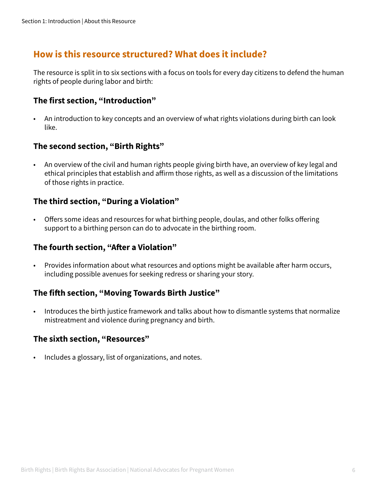#### **How is this resource structured? What does it include?**

The resource is split in to six sections with a focus on tools for every day citizens to defend the human rights of people during labor and birth:

#### **The first section, "Introduction"**

• An introduction to key concepts and an overview of what rights violations during birth can look like.

#### **The second section, "Birth Rights"**

• An overview of the civil and human rights people giving birth have, an overview of key legal and ethical principles that establish and affirm those rights, as well as a discussion of the limitations of those rights in practice.

#### **The third section, "During a Violation"**

• Offers some ideas and resources for what birthing people, doulas, and other folks offering support to a birthing person can do to advocate in the birthing room.

#### **The fourth section, "After a Violation"**

• Provides information about what resources and options might be available after harm occurs, including possible avenues for seeking redress or sharing your story.

#### **The fifth section, "Moving Towards Birth Justice"**

• Introduces the birth justice framework and talks about how to dismantle systems that normalize mistreatment and violence during pregnancy and birth.

#### **The sixth section, "Resources"**

• Includes a glossary, list of organizations, and notes.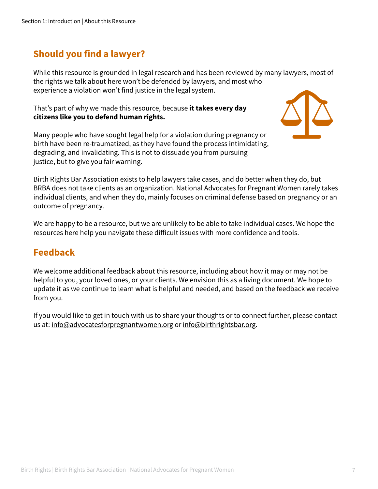#### **Should you find a lawyer?**

While this resource is grounded in legal research and has been reviewed by many lawyers, most of the rights we talk about here won't be defended by lawyers, and most who experience a violation won't find justice in the legal system.

#### That's part of why we made this resource, because **it takes every day citizens like you to defend human rights.**

Many people who have sought legal help for a violation during pregnancy or birth have been re-traumatized, as they have found the process intimidating, degrading, and invalidating. This is not to dissuade you from pursuing justice, but to give you fair warning.



Birth Rights Bar Association exists to help lawyers take cases, and do better when they do, but BRBA does not take clients as an organization. National Advocates for Pregnant Women rarely takes individual clients, and when they do, mainly focuses on criminal defense based on pregnancy or an outcome of pregnancy.

We are happy to be a resource, but we are unlikely to be able to take individual cases. We hope the resources here help you navigate these difficult issues with more confidence and tools.

#### **Feedback**

We welcome additional feedback about this resource, including about how it may or may not be helpful to you, your loved ones, or your clients. We envision this as a living document. We hope to update it as we continue to learn what is helpful and needed, and based on the feedback we receive from you.

If you would like to get in touch with us to share your thoughts or to connect further, please contact us at: info@advocatesforpregnantwomen.org or info@birthrightsbar.org.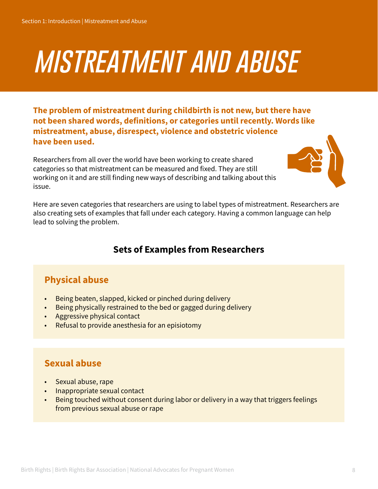# *mistreatment and abuse*

**The problem of mistreatment during childbirth is not new, but there have not been shared words, definitions, or categories until recently. Words like mistreatment, abuse, disrespect, violence and obstetric violence have been used.** 

Researchers from all over the world have been working to create shared categories so that mistreatment can be measured and fixed. They are still working on it and are still finding new ways of describing and talking about this issue.



Here are seven categories that researchers are using to label types of mistreatment. Researchers are also creating sets of examples that fall under each category. Having a common language can help lead to solving the problem.

#### **Sets of Examples from Researchers**

#### **Physical abuse**

- Being beaten, slapped, kicked or pinched during delivery
- Being physically restrained to the bed or gagged during delivery
- Aggressive physical contact
- Refusal to provide anesthesia for an episiotomy

#### **Sexual abuse**

- Sexual abuse, rape
- Inappropriate sexual contact
- Being touched without consent during labor or delivery in a way that triggers feelings from previous sexual abuse or rape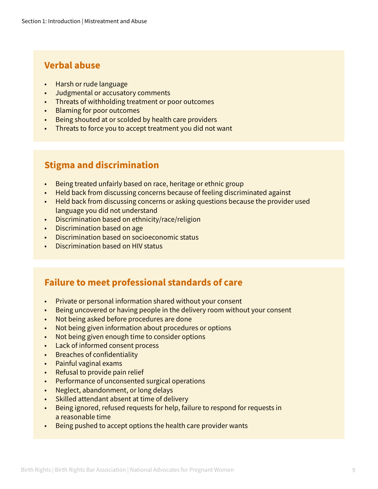#### **Verbal abuse**

- Harsh or rude language
- Judgmental or accusatory comments
- Threats of withholding treatment or poor outcomes
- Blaming for poor outcomes
- Being shouted at or scolded by health care providers
- Threats to force you to accept treatment you did not want

#### **Stigma and discrimination**

- Being treated unfairly based on race, heritage or ethnic group
- Held back from discussing concerns because of feeling discriminated against
- Held back from discussing concerns or asking questions because the provider used language you did not understand
- Discrimination based on ethnicity/race/religion
- Discrimination based on age
- Discrimination based on socioeconomic status
- Discrimination based on HIV status

#### **Failure to meet professional standards of care**

- Private or personal information shared without your consent
- Being uncovered or having people in the delivery room without your consent
- Not being asked before procedures are done
- Not being given information about procedures or options
- Not being given enough time to consider options
- Lack of informed consent process
- Breaches of confidentiality
- Painful vaginal exams
- Refusal to provide pain relief
- Performance of unconsented surgical operations
- Neglect, abandonment, or long delays
- Skilled attendant absent at time of delivery
- Being ignored, refused requests for help, failure to respond for requests in a reasonable time
- Being pushed to accept options the health care provider wants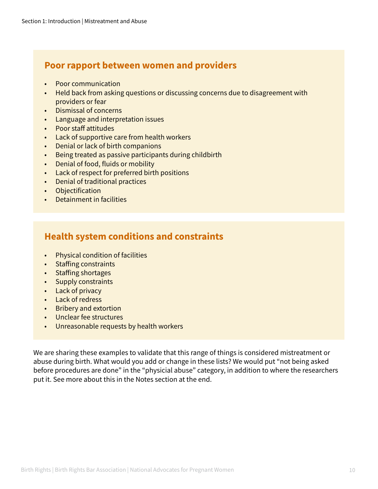#### **Poor rapport between women and providers**

- Poor communication
- Held back from asking questions or discussing concerns due to disagreement with providers or fear
- Dismissal of concerns
- Language and interpretation issues
- Poor staff attitudes
- Lack of supportive care from health workers
- Denial or lack of birth companions
- Being treated as passive participants during childbirth
- Denial of food, fluids or mobility
- Lack of respect for preferred birth positions
- Denial of traditional practices
- Objectification
- Detainment in facilities

#### **Health system conditions and constraints**

- Physical condition of facilities
- Staffing constraints
- Staffing shortages
- Supply constraints
- Lack of privacy
- Lack of redress
- Bribery and extortion
- Unclear fee structures
- Unreasonable requests by health workers

We are sharing these examples to validate that this range of things is considered mistreatment or abuse during birth. What would you add or change in these lists? We would put "not being asked before procedures are done" in the "physicial abuse" category, in addition to where the researchers put it. See more about this in the Notes section at the end.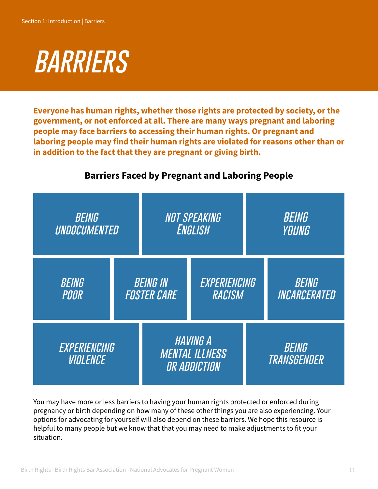

**Everyone has human rights, whether those rights are protected by society, or the government, or not enforced at all. There are many ways pregnant and laboring people may face barriers to accessing their human rights. Or pregnant and laboring people may find their human rights are violated for reasons other than or in addition to the fact that they are pregnant or giving birth.** 

| <b>BEING</b><br>UNDOCUMENTED    |                                       | <b>NOT SPEAKING</b><br><b>ENGLISH</b>                    | <b>BEING</b><br>YOUNG        |
|---------------------------------|---------------------------------------|----------------------------------------------------------|------------------------------|
| BEING<br><b>POOR</b>            | <b>BEING IN</b><br><b>FOSTER CARE</b> | EXPERIENCING<br>RACISM                                   | <b>BEING</b><br>INCARCERATED |
| EXPERIENCING<br><b>VIOLENCE</b> |                                       | <b>HAVING A</b><br><b>MENTAL ILLNESS</b><br>OR ADDICTION | <b>BEING</b><br>TRANSGENDER  |

#### **Barriers Faced by Pregnant and Laboring People**

You may have more or less barriers to having your human rights protected or enforced during pregnancy or birth depending on how many of these other things you are also experiencing. Your options for advocating for yourself will also depend on these barriers. We hope this resource is helpful to many people but we know that that you may need to make adjustments to fit your situation.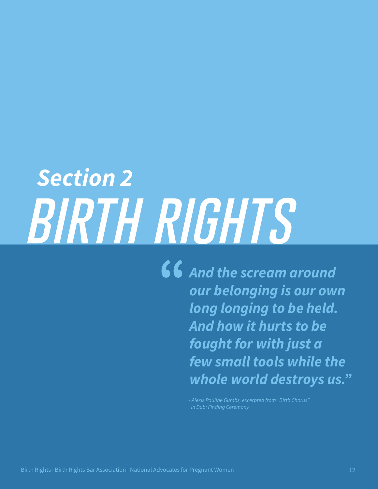# *birth rights Section 2*

*And the scream around our belonging is our own long longing to be held. And how it hurts to be fought for with just a few small tools while the whole world destroys us."*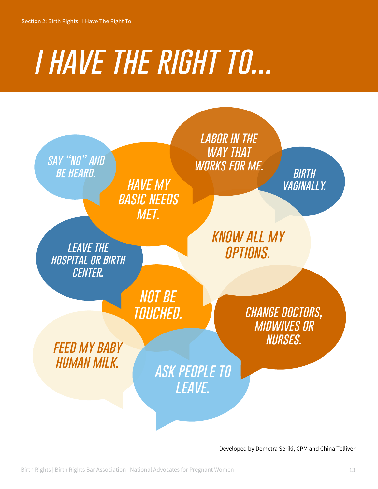# *i have the right to...*



Developed by Demetra Seriki, CPM and China Tolliver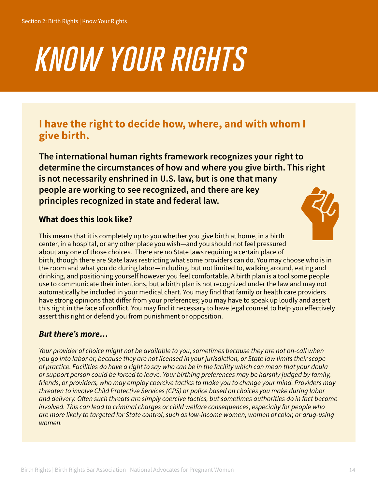# *know your rights*

#### **I have the right to decide how, where, and with whom I give birth.**

**The international human rights framework recognizes your right to determine the circumstances of how and where you give birth. This right is not necessarily enshrined in U.S. law, but is one that many people are working to see recognized, and there are key principles recognized in state and federal law.** 

#### **What does this look like?**



This means that it is completely up to you whether you give birth at home, in a birth center, in a hospital, or any other place you wish—and you should not feel pressured about any one of those choices. There are no State laws requiring a certain place of birth, though there are State laws restricting what some providers can do. You may choose who is in the room and what you do during labor—including, but not limited to, walking around, eating and drinking, and positioning yourself however you feel comfortable. A birth plan is a tool some people use to communicate their intentions, but a birth plan is not recognized under the law and may not automatically be included in your medical chart. You may find that family or health care providers have strong opinions that differ from your preferences; you may have to speak up loudly and assert this right in the face of conflict. You may find it necessary to have legal counsel to help you effectively assert this right or defend you from punishment or opposition.

#### *But there's more…*

*Your provider of choice might not be available to you, sometimes because they are not on-call when you go into labor or, because they are not licensed in your jurisdiction, or State law limits their scope of practice. Facilities do have a right to say who can be in the facility which can mean that your doula or support person could be forced to leave. Your birthing preferences may be harshly judged by family, friends, or providers, who may employ coercive tactics to make you to change your mind. Providers may threaten to involve Child Protective Services (CPS) or police based on choices you make during labor and delivery. Often such threats are simply coercive tactics, but sometimes authorities do in fact become involved. This can lead to criminal charges or child welfare consequences, especially for people who are more likely to targeted for State control, such as low-income women, women of color, or drug-using women.*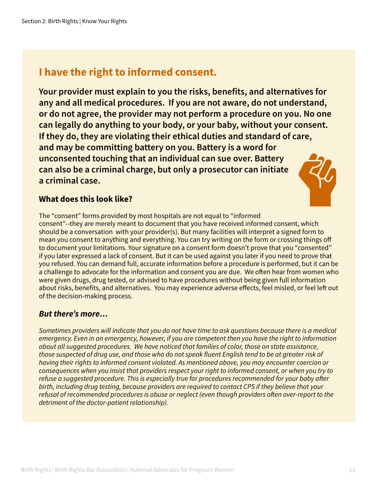#### **I have the right to informed consent.**

**Your provider must explain to you the risks, benefits, and alternatives for any and all medical procedures. If you are not aware, do not understand, or do not agree, the provider may not perform a procedure on you. No one can legally do anything to your body, or your baby, without your consent. If they do, they are violating their ethical duties and standard of care, and may be committing battery on you. Battery is a word for unconsented touching that an individual can sue over. Battery can also be a criminal charge, but only a prosecutor can initiate a criminal case.** 



#### **What does this look like?**

The "consent" forms provided by most hospitals are not equal to "informed consent"--they are merely meant to document that you have received informed consent, which should be a conversation with your provider(s). But many facilities will interpret a signed form to mean you consent to anything and everything. You can try writing on the form or crossing things off to document your limitations. Your signature on a consent form doesn't prove that you "consented" if you later expressed a lack of consent. But it can be used against you later if you need to prove that you refused. You can demand full, accurate information before a procedure is performed, but it can be a challenge to advocate for the information and consent you are due. We often hear from women who were given drugs, drug tested, or advised to have procedures without being given full information about risks, benefits, and alternatives. You may experience adverse effects, feel misled, or feel left out of the decision-making process.

#### *But there's more…*

*Sometimes providers will indicate that you do not have time to ask questions because there is a medical emergency. Even in an emergency, however, if you are competent then you have the right to information about all suggested procedures. We have noticed that families of color, those on state assistance, those suspected of drug use, and those who do not speak fluent English tend to be at greater risk of having their rights to informed consent violated. As mentioned above, you may encounter coercion or consequences when you insist that providers respect your right to informed consent, or when you try to refuse a suggested procedure. This is especially true for procedures recommended for your baby after birth, including drug testing, because providers are required to contact CPS if they believe that your refusal of recommended procedures is abuse or neglect (even though providers often over-report to the detriment of the doctor-patient relationship).*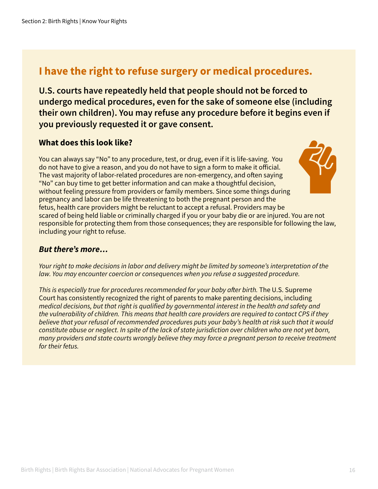#### **I have the right to refuse surgery or medical procedures.**

**U.S. courts have repeatedly held that people should not be forced to undergo medical procedures, even for the sake of someone else (including their own children). You may refuse any procedure before it begins even if you previously requested it or gave consent.**

#### **What does this look like?**

You can always say "No" to any procedure, test, or drug, even if it is life-saving. You do not have to give a reason, and you do not have to sign a form to make it official. The vast majority of labor-related procedures are non-emergency, and often saying "No" can buy time to get better information and can make a thoughtful decision, without feeling pressure from providers or family members. Since some things during pregnancy and labor can be life threatening to both the pregnant person and the fetus, health care providers might be reluctant to accept a refusal. Providers may be scared of being held liable or criminally charged if you or your baby die or are injured. You are not responsible for protecting them from those consequences; they are responsible for following the law, including your right to refuse.

#### *But there's more…*

*Your right to make decisions in labor and delivery might be limited by someone's interpretation of the law. You may encounter coercion or consequences when you refuse a suggested procedure.* 

*This is especially true for procedures recommended for your baby after birth.* The U.S. Supreme Court has consistently recognized the right of parents to make parenting decisions, including *medical decisions, but that right is qualified by governmental interest in the health and safety and the vulnerability of children. This means that health care providers are required to contact CPS if they believe that your refusal of recommended procedures puts your baby's health at risk such that it would constitute abuse or neglect. In spite of the lack of state jurisdiction over children who are not yet born, many providers and state courts wrongly believe they may force a pregnant person to receive treatment for their fetus.*

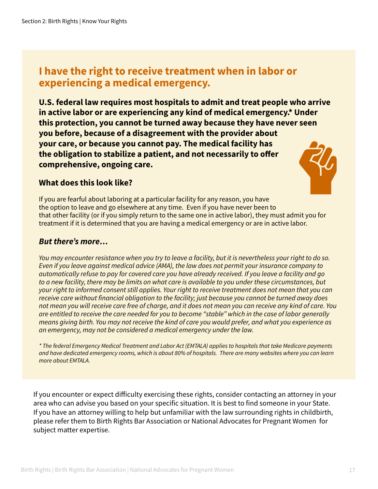#### **I have the right to receive treatment when in labor or experiencing a medical emergency.**

**U.S. federal law requires most hospitals to admit and treat people who arrive in active labor or are experiencing any kind of medical emergency.\* Under this protection, you cannot be turned away because they have never seen you before, because of a disagreement with the provider about your care, or because you cannot pay. The medical facility has the obligation to stabilize a patient, and not necessarily to offer comprehensive, ongoing care.** 

#### **What does this look like?**



If you are fearful about laboring at a particular facility for any reason, you have the option to leave and go elsewhere at any time. Even if you have never been to that other facility (or if you simply return to the same one in active labor), they must admit you for treatment if it is determined that you are having a medical emergency or are in active labor.

#### *But there's more…*

*You may encounter resistance when you try to leave a facility, but it is nevertheless your right to do so. Even if you leave against medical advice (AMA), the law does not permit your insurance company to automatically refuse to pay for covered care you have already received. If you leave a facility and go to a new facility, there may be limits on what care is available to you under these circumstances, but your right to informed consent still applies. Your right to receive treatment does not mean that you can receive care without financial obligation to the facility; just because you cannot be turned away does not mean you will receive care free of charge, and it does not mean you can receive any kind of care. You are entitled to receive the care needed for you to become "stable" which in the case of labor generally means giving birth. You may not receive the kind of care you would prefer, and what you experience as an emergency, may not be considered a medical emergency under the law.*

*\* The federal Emergency Medical Treatment and Labor Act (EMTALA) applies to hospitals that take Medicare payments and have dedicated emergency rooms, which is about 80% of hospitals. There are many websites where you can learn more about EMTALA.*

If you encounter or expect difficulty exercising these rights, consider contacting an attorney in your area who can advise you based on your specific situation. It is best to find someone in your State. If you have an attorney willing to help but unfamiliar with the law surrounding rights in childbirth, please refer them to Birth Rights Bar Association or National Advocates for Pregnant Women for subject matter expertise.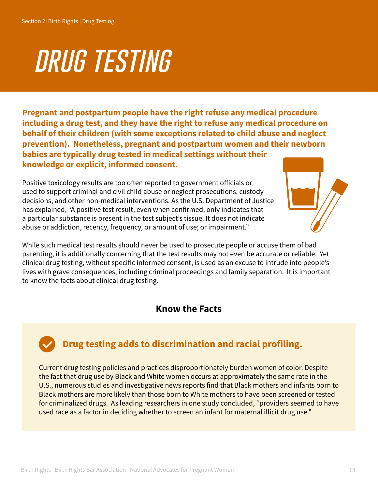# *drug testing*

**Pregnant and postpartum people have the right refuse any medical procedure including a drug test, and they have the right to refuse any medical procedure on behalf of their children (with some exceptions related to child abuse and neglect prevention). Nonetheless, pregnant and postpartum women and their newborn babies are typically drug tested in medical settings without their knowledge or explicit, informed consent.**

Positive toxicology results are too often reported to government officials or used to support criminal and civil child abuse or neglect prosecutions, custody decisions, and other non-medical interventions. As the U.S. Department of Justice has explained, "A positive test result, even when confirmed, only indicates that a particular substance is present in the test subject's tissue. It does not indicate abuse or addiction, recency, frequency, or amount of use; or impairment."



While such medical test results should never be used to prosecute people or accuse them of bad parenting, it is additionally concerning that the test results may not even be accurate or reliable. Yet clinical drug testing, without specific informed consent, is used as an excuse to intrude into people's lives with grave consequences, including criminal proceedings and family separation. It is important to know the facts about clinical drug testing.

#### **Know the Facts**

#### **Drug testing adds to discrimination and racial profiling.**

Current drug testing policies and practices disproportionately burden women of color. Despite the fact that drug use by Black and White women occurs at approximately the same rate in the U.S., numerous studies and investigative news reports find that Black mothers and infants born to Black mothers are more likely than those born to White mothers to have been screened or tested for criminalized drugs. As leading researchers in one study concluded, "providers seemed to have used race as a factor in deciding whether to screen an infant for maternal illicit drug use."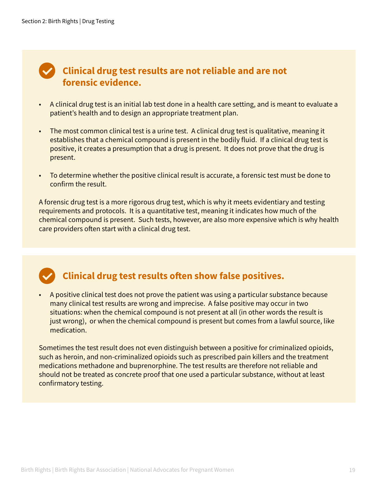#### **Clinical drug test results are not reliable and are not forensic evidence.**

- A clinical drug test is an initial lab test done in a health care setting, and is meant to evaluate a patient's health and to design an appropriate treatment plan.
- The most common clinical test is a urine test. A clinical drug test is qualitative, meaning it establishes that a chemical compound is present in the bodily fluid. If a clinical drug test is positive, it creates a presumption that a drug is present. It does not prove that the drug is present.
- To determine whether the positive clinical result is accurate, a forensic test must be done to confirm the result.

A forensic drug test is a more rigorous drug test, which is why it meets evidentiary and testing requirements and protocols. It is a quantitative test, meaning it indicates how much of the chemical compound is present. Such tests, however, are also more expensive which is why health care providers often start with a clinical drug test.

#### **Clinical drug test results often show false positives.**

• A positive clinical test does not prove the patient was using a particular substance because many clinical test results are wrong and imprecise. A false positive may occur in two situations: when the chemical compound is not present at all (in other words the result is just wrong), or when the chemical compound is present but comes from a lawful source, like medication.

Sometimes the test result does not even distinguish between a positive for criminalized opioids, such as heroin, and non-criminalized opioids such as prescribed pain killers and the treatment medications methadone and buprenorphine. The test results are therefore not reliable and should not be treated as concrete proof that one used a particular substance, without at least confirmatory testing.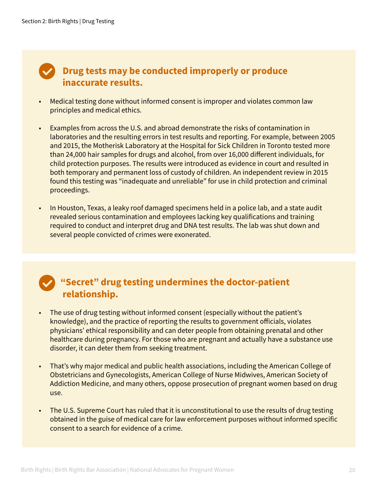#### *P* Drug tests may be conducted improperly or produce  **inaccurate results.**

- Medical testing done without informed consent is improper and violates common law principles and medical ethics.
- Examples from across the U.S. and abroad demonstrate the risks of contamination in laboratories and the resulting errors in test results and reporting. For example, between 2005 and 2015, the Motherisk Laboratory at the Hospital for Sick Children in Toronto tested more than 24,000 hair samples for drugs and alcohol, from over 16,000 different individuals, for child protection purposes. The results were introduced as evidence in court and resulted in both temporary and permanent loss of custody of children. An independent review in 2015 found this testing was "inadequate and unreliable" for use in child protection and criminal proceedings.
- In Houston, Texas, a leaky roof damaged specimens held in a police lab, and a state audit revealed serious contamination and employees lacking key qualifications and training required to conduct and interpret drug and DNA test results. The lab was shut down and several people convicted of crimes were exonerated.

#### **"Secret" drug testing undermines the doctor-patient relationship.**

- The use of drug testing without informed consent (especially without the patient's knowledge), and the practice of reporting the results to government officials, violates physicians' ethical responsibility and can deter people from obtaining prenatal and other healthcare during pregnancy. For those who are pregnant and actually have a substance use disorder, it can deter them from seeking treatment.
- That's why major medical and public health associations, including the American College of Obstetricians and Gynecologists, American College of Nurse Midwives, American Society of Addiction Medicine, and many others, oppose prosecution of pregnant women based on drug use.
- The U.S. Supreme Court has ruled that it is unconstitutional to use the results of drug testing obtained in the guise of medical care for law enforcement purposes without informed specific consent to a search for evidence of a crime.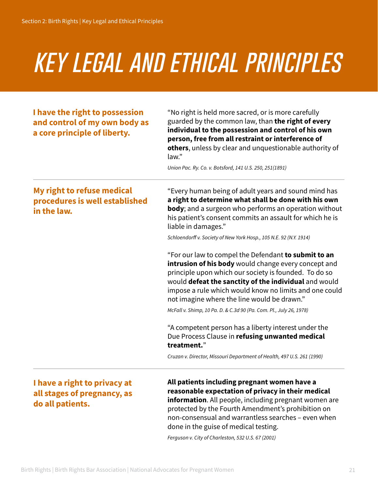# *key legal and ethical principles*

| I have the right to possession<br>and control of my own body as<br>a core principle of liberty. | "No right is held more sacred, or is more carefully<br>guarded by the common law, than the right of every<br>individual to the possession and control of his own<br>person, free from all restraint or interference of<br>others, unless by clear and unquestionable authority of<br>law."                                              |
|-------------------------------------------------------------------------------------------------|-----------------------------------------------------------------------------------------------------------------------------------------------------------------------------------------------------------------------------------------------------------------------------------------------------------------------------------------|
|                                                                                                 | Union Pac. Ry. Co. v. Botsford, 141 U.S. 250, 251(1891)                                                                                                                                                                                                                                                                                 |
| My right to refuse medical<br>procedures is well established<br>in the law.                     | "Every human being of adult years and sound mind has<br>a right to determine what shall be done with his own<br>body; and a surgeon who performs an operation without<br>his patient's consent commits an assault for which he is<br>liable in damages."                                                                                |
|                                                                                                 | Schloendorff v. Society of New York Hosp., 105 N.E. 92 (N.Y. 1914)                                                                                                                                                                                                                                                                      |
|                                                                                                 | "For our law to compel the Defendant to submit to an<br>intrusion of his body would change every concept and<br>principle upon which our society is founded. To do so<br>would defeat the sanctity of the individual and would<br>impose a rule which would know no limits and one could<br>not imagine where the line would be drawn." |
|                                                                                                 | McFall v. Shimp, 10 Pa. D. & C.3d 90 (Pa. Com. Pl., July 26, 1978)                                                                                                                                                                                                                                                                      |
|                                                                                                 | "A competent person has a liberty interest under the<br>Due Process Clause in refusing unwanted medical<br>treatment."                                                                                                                                                                                                                  |
|                                                                                                 | Cruzan v. Director, Missouri Department of Health, 497 U.S. 261 (1990)                                                                                                                                                                                                                                                                  |
| I have a right to privacy at<br>all stages of pregnancy, as<br>do all patients.                 | All patients including pregnant women have a<br>reasonable expectation of privacy in their medical<br>information. All people, including pregnant women are                                                                                                                                                                             |

protected by the Fourth Amendment's prohibition on non-consensual and warrantless searches – even when done in the guise of medical testing.

*Ferguson v. City of Charleston, 532 U.S. 67 (2001)*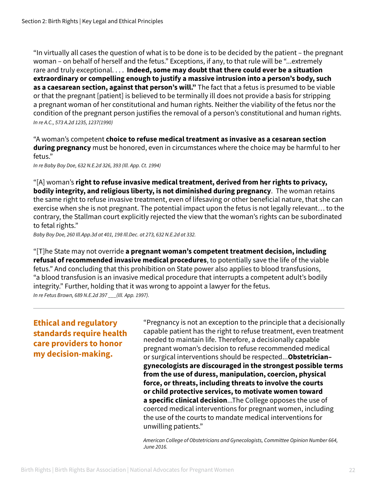"In virtually all cases the question of what is to be done is to be decided by the patient – the pregnant woman – on behalf of herself and the fetus." Exceptions, if any, to that rule will be "...extremely rare and truly exceptional. . . . **Indeed, some may doubt that there could ever be a situation extraordinary or compelling enough to justify a massive intrusion into a person's body, such as a caesarean section, against that person's will."** The fact that a fetus is presumed to be viable or that the pregnant [patient] is believed to be terminally ill does not provide a basis for stripping a pregnant woman of her constitutional and human rights. Neither the viability of the fetus nor the condition of the pregnant person justifies the removal of a person's constitutional and human rights. *In re A.C., 573 A.2d 1235, 1237(1990)* 

"A woman's competent **choice to refuse medical treatment as invasive as a cesarean section during pregnancy** must be honored, even in circumstances where the choice may be harmful to her fetus."

*In re Baby Boy Doe, 632 N.E.2d 326, 393 (Ill. App. Ct. 1994)*

"[A] woman's **right to refuse invasive medical treatment, derived from her rights to privacy, bodily integrity, and religious liberty, is not diminished during pregnancy**. The woman retains the same right to refuse invasive treatment, even of lifesaving or other beneficial nature, that she can exercise when she is not pregnant. The potential impact upon the fetus is not legally relevant… to the contrary, the Stallman court explicitly rejected the view that the woman's rights can be subordinated to fetal rights."

*Baby Boy Doe, 260 Ill.App.3d at 401, 198 Ill.Dec. at 273, 632 N.E.2d at 332.*

"[T]he State may not override **a pregnant woman's competent treatment decision, including refusal of recommended invasive medical procedures**, to potentially save the life of the viable fetus." And concluding that this prohibition on State power also applies to blood transfusions, "a blood transfusion is an invasive medical procedure that interrupts a competent adult's bodily integrity." Further, holding that it was wrong to appoint a lawyer for the fetus. *In re Fetus Brown, 689 N.E.2d 397 \_\_\_(Ill. App. 1997).*

**Ethical and regulatory standards require health care providers to honor my decision-making.**

"Pregnancy is not an exception to the principle that a decisionally capable patient has the right to refuse treatment, even treatment needed to maintain life. Therefore, a decisionally capable pregnant woman's decision to refuse recommended medical or surgical interventions should be respected...**Obstetrician– gynecologists are discouraged in the strongest possible terms from the use of duress, manipulation, coercion, physical force, or threats, including threats to involve the courts or child protective services, to motivate women toward a specific clinical decision**...The College opposes the use of coerced medical interventions for pregnant women, including the use of the courts to mandate medical interventions for unwilling patients."

*American College of Obstetricians and Gynecologists, Committee Opinion Number 664, June 2016.*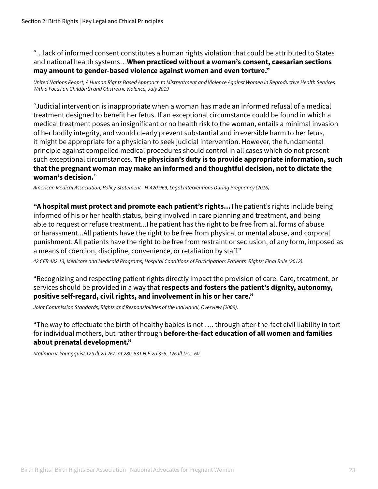"…lack of informed consent constitutes a human rights violation that could be attributed to States and national health systems…**When practiced without a woman's consent, caesarian sections may amount to gender-based violence against women and even torture."**

*United Nations Reoprt, A Human Rights Based Approach to Mistreatment and Violence Against Women in Reproductive Health Services With a Focus on Childbirth and Obstretric Violence, July 2019*

"Judicial intervention is inappropriate when a woman has made an informed refusal of a medical treatment designed to benefit her fetus. If an exceptional circumstance could be found in which a medical treatment poses an insignificant or no health risk to the woman, entails a minimal invasion of her bodily integrity, and would clearly prevent substantial and irreversible harm to her fetus, it might be appropriate for a physician to seek judicial intervention. However, the fundamental principle against compelled medical procedures should control in all cases which do not present such exceptional circumstances. **The physician's duty is to provide appropriate information, such that the pregnant woman may make an informed and thoughtful decision, not to dictate the woman's decision.**"

*American Medical Association, Policy Statement - H-420.969, Legal Interventions During Pregnancy (2016).*

**"A hospital must protect and promote each patient's rights...**The patient's rights include being informed of his or her health status, being involved in care planning and treatment, and being able to request or refuse treatment...The patient has the right to be free from all forms of abuse or harassment...All patients have the right to be free from physical or mental abuse, and corporal punishment. All patients have the right to be free from restraint or seclusion, of any form, imposed as a means of coercion, discipline, convenience, or retaliation by staff."

*42 CFR 482.13, Medicare and Medicaid Programs; Hospital Conditions of Participation: Patients' Rights; Final Rule (2012).* 

"Recognizing and respecting patient rights directly impact the provision of care. Care, treatment, or services should be provided in a way that **respects and fosters the patient's dignity, autonomy, positive self-regard, civil rights, and involvement in his or her care."**

*Joint Commission Standards, Rights and Responsibilities of the Individual, Overview (2009).*

"The way to effectuate the birth of healthy babies is not …. through after-the-fact civil liability in tort for individual mothers, but rather through **before-the-fact education of all women and families about prenatal development."** 

*Stallman v. Youngquist 125 Ill.2d 267, at 280 531 N.E.2d 355, 126 Ill.Dec. 60*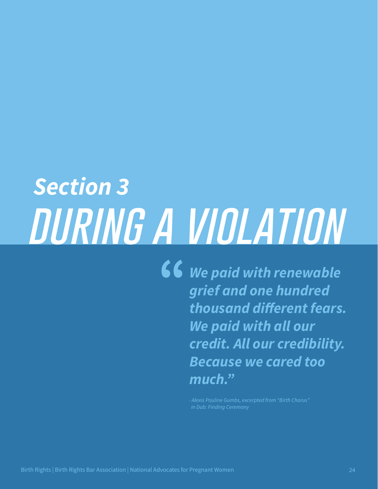# *Section 3 during a violation*

*We paid with renewable grief and one hundred thousand different fears. We paid with all our credit. All our credibility. Because we cared too much."*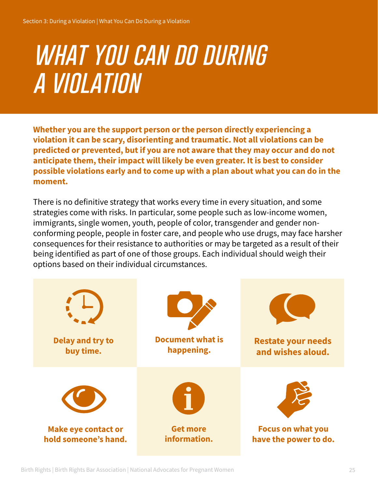### *what you can do during a violation*

**Whether you are the support person or the person directly experiencing a violation it can be scary, disorienting and traumatic. Not all violations can be predicted or prevented, but if you are not aware that they may occur and do not anticipate them, their impact will likely be even greater. It is best to consider possible violations early and to come up with a plan about what you can do in the moment.**

There is no definitive strategy that works every time in every situation, and some strategies come with risks. In particular, some people such as low-income women, immigrants, single women, youth, people of color, transgender and gender nonconforming people, people in foster care, and people who use drugs, may face harsher consequences for their resistance to authorities or may be targeted as a result of their being identified as part of one of those groups. Each individual should weigh their options based on their individual circumstances.

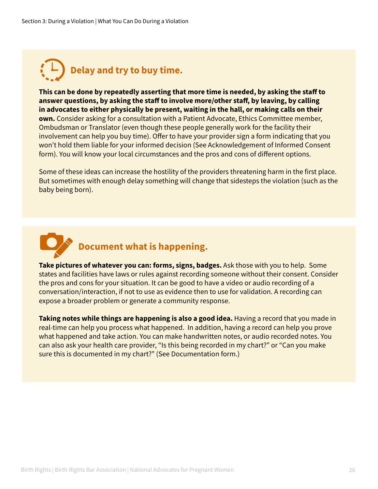

**This can be done by repeatedly asserting that more time is needed, by asking the staff to answer questions, by asking the staff to involve more/other staff, by leaving, by calling in advocates to either physically be present, waiting in the hall, or making calls on their own.** Consider asking for a consultation with a Patient Advocate, Ethics Committee member, Ombudsman or Translator (even though these people generally work for the facility their involvement can help you buy time). Offer to have your provider sign a form indicating that you won't hold them liable for your informed decision (See Acknowledgement of Informed Consent form). You will know your local circumstances and the pros and cons of different options.

Some of these ideas can increase the hostility of the providers threatening harm in the first place. But sometimes with enough delay something will change that sidesteps the violation (such as the baby being born).



**Take pictures of whatever you can: forms, signs, badges.** Ask those with you to help. Some states and facilities have laws or rules against recording someone without their consent. Consider the pros and cons for your situation. It can be good to have a video or audio recording of a conversation/interaction, if not to use as evidence then to use for validation. A recording can expose a broader problem or generate a community response.

**Taking notes while things are happening is also a good idea.** Having a record that you made in real-time can help you process what happened. In addition, having a record can help you prove what happened and take action. You can make handwritten notes, or audio recorded notes. You can also ask your health care provider, "Is this being recorded in my chart?" or "Can you make sure this is documented in my chart?" (See Documentation form.)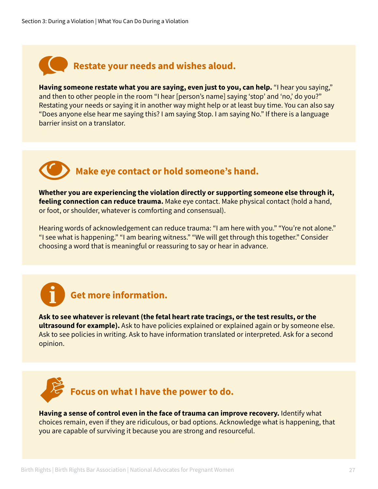#### **Restate your needs and wishes aloud.**

**Having someone restate what you are saying, even just to you, can help.** "I hear you saying," and then to other people in the room "I hear [person's name] saying 'stop' and 'no,' do you?" Restating your needs or saying it in another way might help or at least buy time. You can also say "Does anyone else hear me saying this? I am saying Stop. I am saying No." If there is a language barrier insist on a translator.

#### **Make eye contact or hold someone's hand.**

**Whether you are experiencing the violation directly or supporting someone else through it, feeling connection can reduce trauma.** Make eye contact. Make physical contact (hold a hand, or foot, or shoulder, whatever is comforting and consensual).

Hearing words of acknowledgement can reduce trauma: "I am here with you." "You're not alone." "I see what is happening." "I am bearing witness." "We will get through this together." Consider choosing a word that is meaningful or reassuring to say or hear in advance.

#### **Get more information.**

**Ask to see whatever is relevant (the fetal heart rate tracings, or the test results, or the ultrasound for example).** Ask to have policies explained or explained again or by someone else. Ask to see policies in writing. Ask to have information translated or interpreted. Ask for a second opinion.



**Having a sense of control even in the face of trauma can improve recovery.** Identify what choices remain, even if they are ridiculous, or bad options. Acknowledge what is happening, that you are capable of surviving it because you are strong and resourceful.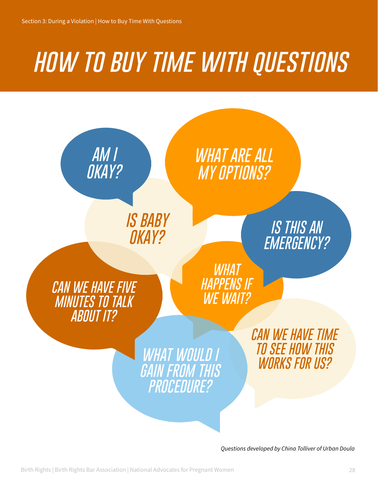### *how to buy time with questions*



*Questions developed by China Tolliver of Urban Doula*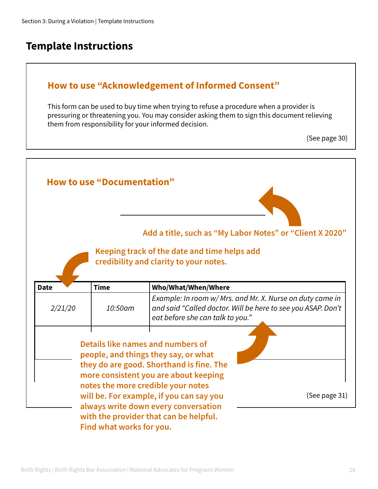#### **Template Instructions**

#### **How to use "Acknowledgement of Informed Consent"**

This form can be used to buy time when trying to refuse a procedure when a provider is pressuring or threatening you. You may consider asking them to sign this document relieving them from responsibility for your informed decision.

<sup>(</sup>See page 30)

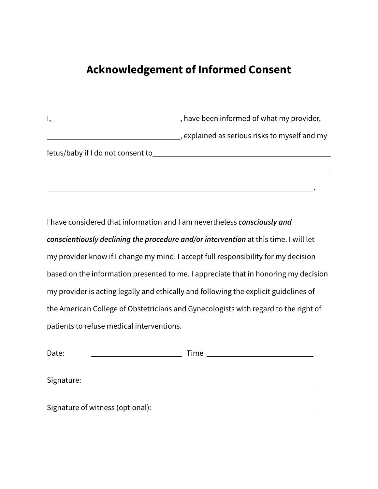#### **Acknowledgement of Informed Consent**

I, , have been informed of what my provider, , explained as serious risks to myself and my fetus/baby if I do not consent to  $\overline{a}$ 

**.** The contract of the contract of the contract of the contract of the contract of the contract of the contract of

I have considered that information and I am nevertheless *consciously and conscientiously declining the procedure and/or intervention* at this time. I will let my provider know if I change my mind. I accept full responsibility for my decision based on the information presented to me. I appreciate that in honoring my decision my provider is acting legally and ethically and following the explicit guidelines of the American College of Obstetricians and Gynecologists with regard to the right of patients to refuse medical interventions.

| Date:                              | Time $\_\_\_\_\_\_\_\_\_\_\_\_\_\_\_$ |
|------------------------------------|---------------------------------------|
| Signature:                         |                                       |
| Signature of witness (optional): _ |                                       |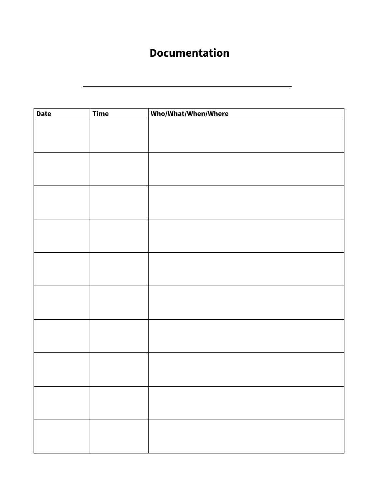#### **Documentation**

| <b>Date</b> | <b>Time</b> | Who/What/When/Where |
|-------------|-------------|---------------------|
|             |             |                     |
|             |             |                     |
|             |             |                     |
|             |             |                     |
|             |             |                     |
|             |             |                     |
|             |             |                     |
|             |             |                     |
|             |             |                     |
|             |             |                     |
|             |             |                     |
|             |             |                     |
|             |             |                     |
|             |             |                     |
|             |             |                     |
|             |             |                     |
|             |             |                     |
|             |             |                     |
|             |             |                     |
|             |             |                     |
|             |             |                     |
|             |             |                     |
|             |             |                     |
|             |             |                     |
|             |             |                     |
|             |             |                     |
|             |             |                     |
|             |             |                     |
|             |             |                     |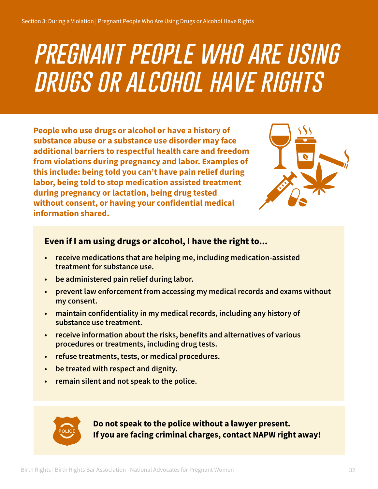### *pregnant people who are using drugs or alcohol have rights*

**People who use drugs or alcohol or have a history of substance abuse or a substance use disorder may face additional barriers to respectful health care and freedom from violations during pregnancy and labor. Examples of this include: being told you can't have pain relief during labor, being told to stop medication assisted treatment during pregnancy or lactation, being drug tested without consent, or having your confidential medical information shared.**



#### **Even if I am using drugs or alcohol, I have the right to...**

- **• receive medications that are helping me, including medication-assisted treatment for substance use.**
- **• be administered pain relief during labor.**
- **• prevent law enforcement from accessing my medical records and exams without my consent.**
- **• maintain confidentiality in my medical records, including any history of substance use treatment.**
- **• receive information about the risks, benefits and alternatives of various procedures or treatments, including drug tests.**
- **• refuse treatments, tests, or medical procedures.**
- **• be treated with respect and dignity.**
- **• remain silent and not speak to the police.**



**Do not speak to the police without a lawyer present. If you are facing criminal charges, contact NAPW right away!**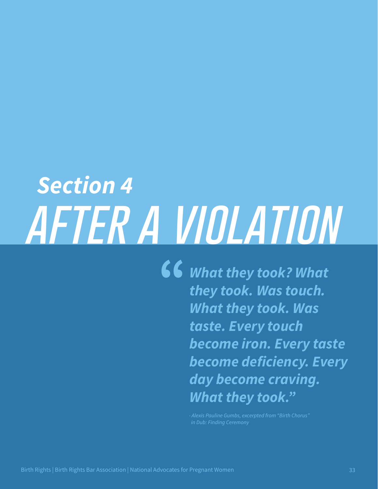# *Section 4 after a violation*

*What they took? What they took. Was touch. What they took. Was taste. Every touch become iron. Every taste become deficiency. Every day become craving. What they took."*

> *- Alexis Pauline Gumbs, excerpted from "Birth Chorus" in Dub: Finding Ceremony*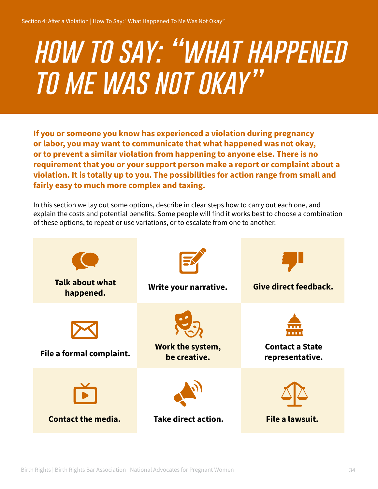# *how to say: "what happened to me was not okay"*

**If you or someone you know has experienced a violation during pregnancy or labor, you may want to communicate that what happened was not okay, or to prevent a similar violation from happening to anyone else. There is no requirement that you or your support person make a report or complaint about a violation. It is totally up to you. The possibilities for action range from small and fairly easy to much more complex and taxing.**

In this section we lay out some options, describe in clear steps how to carry out each one, and explain the costs and potential benefits. Some people will find it works best to choose a combination of these options, to repeat or use variations, or to escalate from one to another.

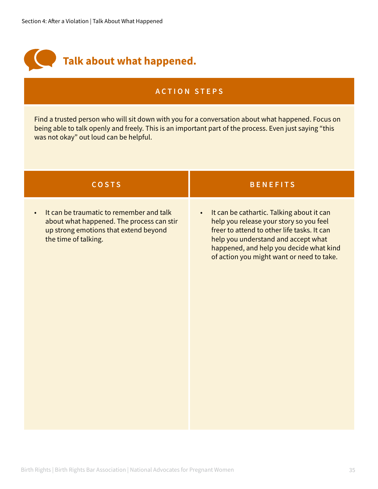

Find a trusted person who will sit down with you for a conversation about what happened. Focus on being able to talk openly and freely. This is an important part of the process. Even just saying "this was not okay" out loud can be helpful.

| <b>COSTS</b>                                                                                                                                                        | <b>BENEFITS</b>                                                                                                                                                                                                                                                                 |
|---------------------------------------------------------------------------------------------------------------------------------------------------------------------|---------------------------------------------------------------------------------------------------------------------------------------------------------------------------------------------------------------------------------------------------------------------------------|
| It can be traumatic to remember and talk<br>$\bullet$<br>about what happened. The process can stir<br>up strong emotions that extend beyond<br>the time of talking. | It can be cathartic. Talking about it can<br>$\bullet$<br>help you release your story so you feel<br>freer to attend to other life tasks. It can<br>help you understand and accept what<br>happened, and help you decide what kind<br>of action you might want or need to take. |
|                                                                                                                                                                     |                                                                                                                                                                                                                                                                                 |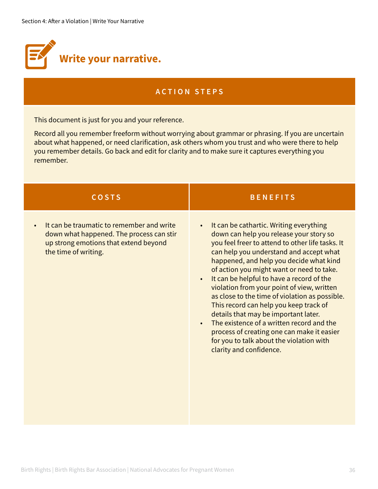

This document is just for you and your reference.

Record all you remember freeform without worrying about grammar or phrasing. If you are uncertain about what happened, or need clarification, ask others whom you trust and who were there to help you remember details. Go back and edit for clarity and to make sure it captures everything you remember.

| <b>COSTS</b>                                                                                                                                                        | <b>BENEFITS</b>                                                                                                                                                                                                                                                                                                                                                                                                                                                                                                                                                                                                                                                                                                   |
|---------------------------------------------------------------------------------------------------------------------------------------------------------------------|-------------------------------------------------------------------------------------------------------------------------------------------------------------------------------------------------------------------------------------------------------------------------------------------------------------------------------------------------------------------------------------------------------------------------------------------------------------------------------------------------------------------------------------------------------------------------------------------------------------------------------------------------------------------------------------------------------------------|
| It can be traumatic to remember and write<br>$\bullet$<br>down what happened. The process can stir<br>up strong emotions that extend beyond<br>the time of writing. | It can be cathartic. Writing everything<br>$\bullet$<br>down can help you release your story so<br>you feel freer to attend to other life tasks. It<br>can help you understand and accept what<br>happened, and help you decide what kind<br>of action you might want or need to take.<br>It can be helpful to have a record of the<br>$\bullet$<br>violation from your point of view, written<br>as close to the time of violation as possible.<br>This record can help you keep track of<br>details that may be important later.<br>The existence of a written record and the<br>$\bullet$<br>process of creating one can make it easier<br>for you to talk about the violation with<br>clarity and confidence. |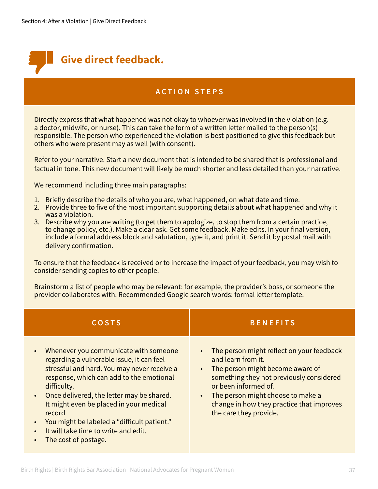

Directly express that what happened was not okay to whoever was involved in the violation (e.g. a doctor, midwife, or nurse). This can take the form of a written letter mailed to the person(s) responsible. The person who experienced the violation is best positioned to give this feedback but others who were present may as well (with consent).

Refer to your narrative. Start a new document that is intended to be shared that is professional and factual in tone. This new document will likely be much shorter and less detailed than your narrative.

We recommend including three main paragraphs:

- 1. Briefly describe the details of who you are, what happened, on what date and time.
- 2. Provide three to five of the most important supporting details about what happened and why it was a violation.
- 3. Describe why you are writing (to get them to apologize, to stop them from a certain practice, to change policy, etc.). Make a clear ask. Get some feedback. Make edits. In your final version, include a formal address block and salutation, type it, and print it. Send it by postal mail with delivery confirmation.

To ensure that the feedback is received or to increase the impact of your feedback, you may wish to consider sending copies to other people.

Brainstorm a list of people who may be relevant: for example, the provider's boss, or someone the provider collaborates with. Recommended Google search words: formal letter template.

| <b>COSTS</b>                                                                                                                                                                                                                                                                                                                                                                                                                                                      | <b>BENEFITS</b>                                                                                                                                                                                                                                                                                               |
|-------------------------------------------------------------------------------------------------------------------------------------------------------------------------------------------------------------------------------------------------------------------------------------------------------------------------------------------------------------------------------------------------------------------------------------------------------------------|---------------------------------------------------------------------------------------------------------------------------------------------------------------------------------------------------------------------------------------------------------------------------------------------------------------|
| Whenever you communicate with someone<br>$\bullet$<br>regarding a vulnerable issue, it can feel<br>stressful and hard. You may never receive a<br>response, which can add to the emotional<br>difficulty.<br>Once delivered, the letter may be shared.<br>$\bullet$<br>It might even be placed in your medical<br>record<br>You might be labeled a "difficult patient."<br>$\bullet$<br>It will take time to write and edit.<br>$\bullet$<br>The cost of postage. | The person might reflect on your feedback<br>and learn from it.<br>The person might become aware of<br>$\bullet$<br>something they not previously considered<br>or been informed of.<br>The person might choose to make a<br>$\bullet$<br>change in how they practice that improves<br>the care they provide. |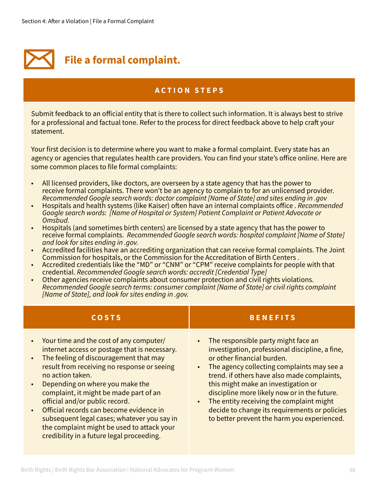

Submit feedback to an official entity that is there to collect such information. It is always best to strive for a professional and factual tone. Refer to the process for direct feedback above to help craft your statement.

Your first decision is to determine where you want to make a formal complaint. Every state has an agency or agencies that regulates health care providers. You can find your state's office online. Here are some common places to file formal complaints:

- All licensed providers, like doctors, are overseen by a state agency that has the power to receive formal complaints. There won't be an agency to complain to for an unlicensed provider. *Recommended Google search words: doctor complaint [Name of State] and sites ending in .gov*
- Hospitals and health systems (like Kaiser) often have an internal complaints office . *Recommended Google search words: [Name of Hospital or System] Patient Complaint or Patient Advocate or Omsbud.*
- Hospitals (and sometimes birth centers) are licensed by a state agency that has the power to receive formal complaints. *Recommended Google search words: hospital complaint [Name of State] and look for sites ending in .gov.*
- Accredited facilities have an accrediting organization that can receive formal complaints. The Joint Commission for hospitals, or the Commission for the Accreditation of Birth Centers .
- Accredited credentials like the "MD" or "CNM" or "CPM" receive complaints for people with that credential. *Recommended Google search words: accredit [Credential Type]*
- Other agencies receive complaints about consumer protection and civil rights violations. *Recommended Google search terms: consumer complaint [Name of State] or civil rights complaint [Name of State], and look for sites ending in .gov.*

| <b>COSTS</b>                                                                                                                                                                                                                                                                                                                                                                                                                                                                                                                                                  | <b>BENEFITS</b>                                                                                                                                                                                                                                                                                                                                                                                                                                      |
|---------------------------------------------------------------------------------------------------------------------------------------------------------------------------------------------------------------------------------------------------------------------------------------------------------------------------------------------------------------------------------------------------------------------------------------------------------------------------------------------------------------------------------------------------------------|------------------------------------------------------------------------------------------------------------------------------------------------------------------------------------------------------------------------------------------------------------------------------------------------------------------------------------------------------------------------------------------------------------------------------------------------------|
| Your time and the cost of any computer/<br>$\bullet$<br>internet access or postage that is necessary.<br>The feeling of discouragement that may<br>$\bullet$<br>result from receiving no response or seeing<br>no action taken.<br>Depending on where you make the<br>$\bullet$<br>complaint, it might be made part of an<br>official and/or public record.<br>Official records can become evidence in<br>$\bullet$<br>subsequent legal cases; whatever you say in<br>the complaint might be used to attack your<br>credibility in a future legal proceeding. | The responsible party might face an<br>investigation, professional discipline, a fine,<br>or other financial burden.<br>The agency collecting complaints may see a<br>trend. if others have also made complaints,<br>this might make an investigation or<br>discipline more likely now or in the future.<br>The entity receiving the complaint might<br>decide to change its requirements or policies<br>to better prevent the harm you experienced. |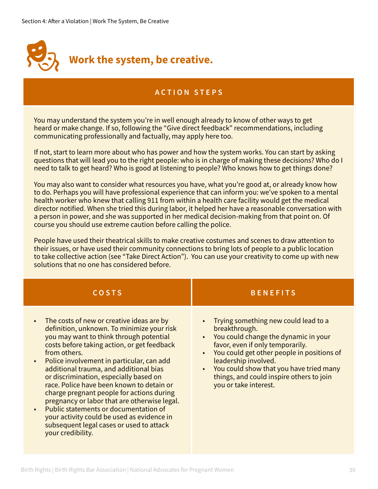

You may understand the system you're in well enough already to know of other ways to get heard or make change. If so, following the "Give direct feedback" recommendations, including communicating professionally and factually, may apply here too.

If not, start to learn more about who has power and how the system works. You can start by asking questions that will lead you to the right people: who is in charge of making these decisions? Who do I need to talk to get heard? Who is good at listening to people? Who knows how to get things done?

You may also want to consider what resources you have, what you're good at, or already know how to do. Perhaps you will have professional experience that can inform you: we've spoken to a mental health worker who knew that calling 911 from within a health care facility would get the medical director notified. When she tried this during labor, it helped her have a reasonable conversation with a person in power, and she was supported in her medical decision-making from that point on. Of course you should use extreme caution before calling the police.

People have used their theatrical skills to make creative costumes and scenes to draw attention to their issues, or have used their community connections to bring lots of people to a public location to take collective action (see "Take Direct Action"). You can use your creativity to come up with new solutions that no one has considered before.

| <b>COSTS</b>                                                                                                                                                                                                                                                                                                                                                                                                                                                                                                                                                                                                                                                                | <b>BENEFITS</b>                                                                                                                                                                                                                                                                                                                                                             |
|-----------------------------------------------------------------------------------------------------------------------------------------------------------------------------------------------------------------------------------------------------------------------------------------------------------------------------------------------------------------------------------------------------------------------------------------------------------------------------------------------------------------------------------------------------------------------------------------------------------------------------------------------------------------------------|-----------------------------------------------------------------------------------------------------------------------------------------------------------------------------------------------------------------------------------------------------------------------------------------------------------------------------------------------------------------------------|
| The costs of new or creative ideas are by<br>$\bullet$<br>definition, unknown. To minimize your risk<br>you may want to think through potential<br>costs before taking action, or get feedback<br>from others.<br>Police involvement in particular, can add<br>$\bullet$<br>additional trauma, and additional bias<br>or discrimination, especially based on<br>race. Police have been known to detain or<br>charge pregnant people for actions during<br>pregnancy or labor that are otherwise legal.<br>Public statements or documentation of<br>$\bullet$<br>your activity could be used as evidence in<br>subsequent legal cases or used to attack<br>your credibility. | Trying something new could lead to a<br>$\bullet$<br>breakthrough.<br>You could change the dynamic in your<br>$\bullet$<br>favor, even if only temporarily.<br>You could get other people in positions of<br>$\bullet$<br>leadership involved.<br>You could show that you have tried many<br>$\bullet$<br>things, and could inspire others to join<br>you or take interest. |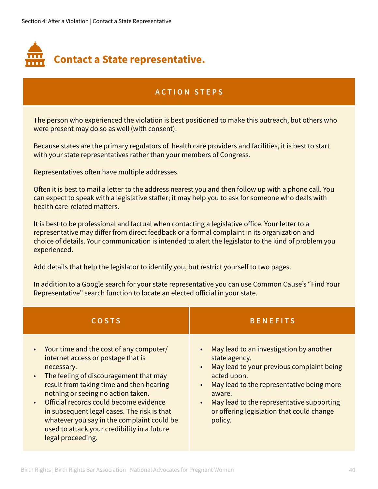

The person who experienced the violation is best positioned to make this outreach, but others who were present may do so as well (with consent).

Because states are the primary regulators of health care providers and facilities, it is best to start with your state representatives rather than your members of Congress.

Representatives often have multiple addresses.

Often it is best to mail a letter to the address nearest you and then follow up with a phone call. You can expect to speak with a legislative staffer; it may help you to ask for someone who deals with health care-related matters.

It is best to be professional and factual when contacting a legislative office. Your letter to a representative may differ from direct feedback or a formal complaint in its organization and choice of details. Your communication is intended to alert the legislator to the kind of problem you experienced.

Add details that help the legislator to identify you, but restrict yourself to two pages.

In addition to a Google search for your state representative you can use Common Cause's "Find Your Representative" search function to locate an elected official in your state.

| <b>COSTS</b>                                                                                                                                                                                                                                                                                                                                                                                                                                      | <b>BENEFITS</b>                                                                                                                                                                                                                                                                               |
|---------------------------------------------------------------------------------------------------------------------------------------------------------------------------------------------------------------------------------------------------------------------------------------------------------------------------------------------------------------------------------------------------------------------------------------------------|-----------------------------------------------------------------------------------------------------------------------------------------------------------------------------------------------------------------------------------------------------------------------------------------------|
| • Your time and the cost of any computer/<br>internet access or postage that is<br>necessary.<br>The feeling of discouragement that may<br>$\bullet$<br>result from taking time and then hearing<br>nothing or seeing no action taken.<br>Official records could become evidence<br>in subsequent legal cases. The risk is that<br>whatever you say in the complaint could be<br>used to attack your credibility in a future<br>legal proceeding. | May lead to an investigation by another<br>state agency.<br>May lead to your previous complaint being<br>acted upon.<br>May lead to the representative being more<br>aware.<br>May lead to the representative supporting<br>$\bullet$<br>or offering legislation that could change<br>policy. |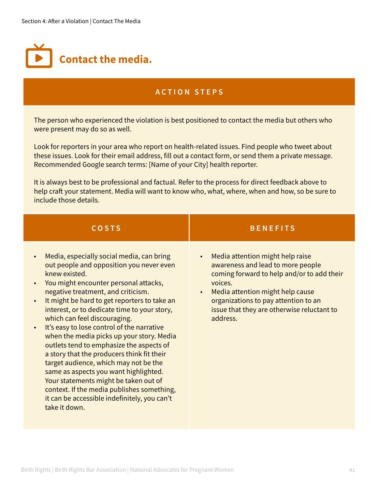

The person who experienced the violation is best positioned to contact the media but others who were present may do so as well.

Look for reporters in your area who report on health-related issues. Find people who tweet about these issues. Look for their email address, fill out a contact form, or send them a private message. Recommended Google search terms: [Name of your City] health reporter.

It is always best to be professional and factual. Refer to the process for direct feedback above to help craft your statement. Media will want to know who, what, where, when and how, so be sure to include those details.

| <b>COSTS</b>                                                                                                                                                                                                                                                                                                                                                                                                                                                                                                                                                                                                                                                                                                                                                      | <b>BENEFITS</b>                                                                                                                                                                                                                                                                                |
|-------------------------------------------------------------------------------------------------------------------------------------------------------------------------------------------------------------------------------------------------------------------------------------------------------------------------------------------------------------------------------------------------------------------------------------------------------------------------------------------------------------------------------------------------------------------------------------------------------------------------------------------------------------------------------------------------------------------------------------------------------------------|------------------------------------------------------------------------------------------------------------------------------------------------------------------------------------------------------------------------------------------------------------------------------------------------|
| Media, especially social media, can bring<br>out people and opposition you never even<br>knew existed.<br>You might encounter personal attacks,<br>negative treatment, and criticism.<br>It might be hard to get reporters to take an<br>$\bullet$<br>interest, or to dedicate time to your story,<br>which can feel discouraging.<br>It's easy to lose control of the narrative<br>when the media picks up your story. Media<br>outlets tend to emphasize the aspects of<br>a story that the producers think fit their<br>target audience, which may not be the<br>same as aspects you want highlighted.<br>Your statements might be taken out of<br>context. If the media publishes something,<br>it can be accessible indefinitely, you can't<br>take it down. | Media attention might help raise<br>$\bullet$<br>awareness and lead to more people<br>coming forward to help and/or to add their<br>voices.<br>Media attention might help cause<br>$\bullet$<br>organizations to pay attention to an<br>issue that they are otherwise reluctant to<br>address. |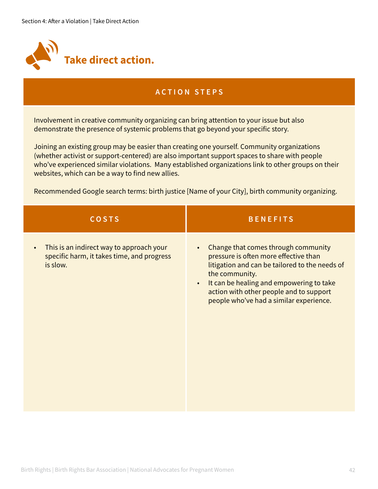

Involvement in creative community organizing can bring attention to your issue but also demonstrate the presence of systemic problems that go beyond your specific story.

Joining an existing group may be easier than creating one yourself. Community organizations (whether activist or support-centered) are also important support spaces to share with people who've experienced similar violations. Many established organizations link to other groups on their websites, which can be a way to find new allies.

Recommended Google search terms: birth justice [Name of your City], birth community organizing.

| <b>COSTS</b>                                                                                       | <b>BENEFITS</b>                                                                                                                                                                                                                                                                                 |
|----------------------------------------------------------------------------------------------------|-------------------------------------------------------------------------------------------------------------------------------------------------------------------------------------------------------------------------------------------------------------------------------------------------|
| This is an indirect way to approach your<br>specific harm, it takes time, and progress<br>is slow. | Change that comes through community<br>pressure is often more effective than<br>litigation and can be tailored to the needs of<br>the community.<br>It can be healing and empowering to take<br>$\bullet$<br>action with other people and to support<br>people who've had a similar experience. |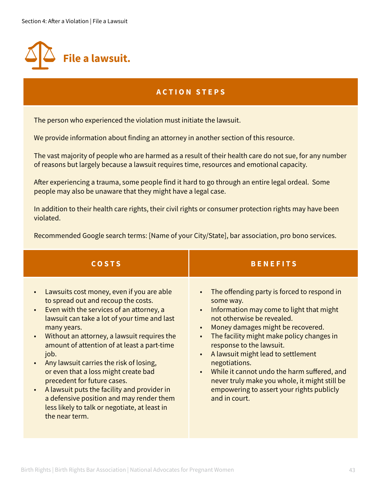

The person who experienced the violation must initiate the lawsuit.

We provide information about finding an attorney in another section of this resource.

The vast majority of people who are harmed as a result of their health care do not sue, for any number of reasons but largely because a lawsuit requires time, resources and emotional capacity.

After experiencing a trauma, some people find it hard to go through an entire legal ordeal. Some people may also be unaware that they might have a legal case.

In addition to their health care rights, their civil rights or consumer protection rights may have been violated.

Recommended Google search terms: [Name of your City/State], bar association, pro bono services.

| <b>COSTS</b>                                                                                                                                                                                                                                                                                                                                                                                                                                                                                                                                                                                                                                       | <b>BENEFITS</b>                                                                                                                                                                                                                                                                                                                                                                                                                                                                                              |
|----------------------------------------------------------------------------------------------------------------------------------------------------------------------------------------------------------------------------------------------------------------------------------------------------------------------------------------------------------------------------------------------------------------------------------------------------------------------------------------------------------------------------------------------------------------------------------------------------------------------------------------------------|--------------------------------------------------------------------------------------------------------------------------------------------------------------------------------------------------------------------------------------------------------------------------------------------------------------------------------------------------------------------------------------------------------------------------------------------------------------------------------------------------------------|
| Lawsuits cost money, even if you are able<br>$\bullet$<br>to spread out and recoup the costs.<br>Even with the services of an attorney, a<br>$\bullet$<br>lawsuit can take a lot of your time and last<br>many years.<br>Without an attorney, a lawsuit requires the<br>$\bullet$<br>amount of attention of at least a part-time<br>job.<br>Any lawsuit carries the risk of losing,<br>$\bullet$<br>or even that a loss might create bad<br>precedent for future cases.<br>A lawsuit puts the facility and provider in<br>$\bullet$<br>a defensive position and may render them<br>less likely to talk or negotiate, at least in<br>the near term. | The offending party is forced to respond in<br>$\bullet$<br>some way.<br>Information may come to light that might<br>$\bullet$<br>not otherwise be revealed.<br>Money damages might be recovered.<br>$\bullet$<br>The facility might make policy changes in<br>response to the lawsuit.<br>A lawsuit might lead to settlement<br>negotiations.<br>While it cannot undo the harm suffered, and<br>never truly make you whole, it might still be<br>empowering to assert your rights publicly<br>and in court. |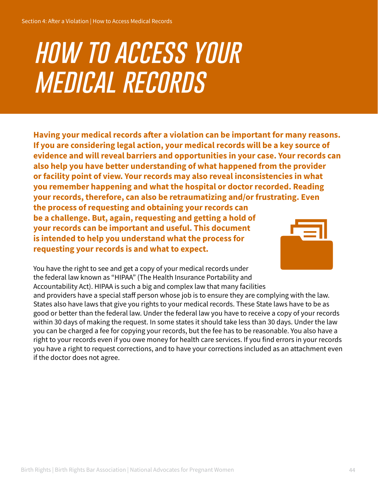# *how to access your medical records*

**Having your medical records after a violation can be important for many reasons. If you are considering legal action, your medical records will be a key source of evidence and will reveal barriers and opportunities in your case. Your records can also help you have better understanding of what happened from the provider or facility point of view. Your records may also reveal inconsistencies in what you remember happening and what the hospital or doctor recorded. Reading your records, therefore, can also be retraumatizing and/or frustrating. Even the process of requesting and obtaining your records can be a challenge. But, again, requesting and getting a hold of your records can be important and useful. This document is intended to help you understand what the process for** 



You have the right to see and get a copy of your medical records under the federal law known as "HIPAA" (The Health Insurance Portability and Accountability Act). HIPAA is such a big and complex law that many facilities and providers have a special staff person whose job is to ensure they are complying with the law. States also have laws that give you rights to your medical records. These State laws have to be as good or better than the federal law. Under the federal law you have to receive a copy of your records within 30 days of making the request. In some states it should take less than 30 days. Under the law you can be charged a fee for copying your records, but the fee has to be reasonable. You also have a right to your records even if you owe money for health care services. If you find errors in your records you have a right to request corrections, and to have your corrections included as an attachment even if the doctor does not agree.

**requesting your records is and what to expect.**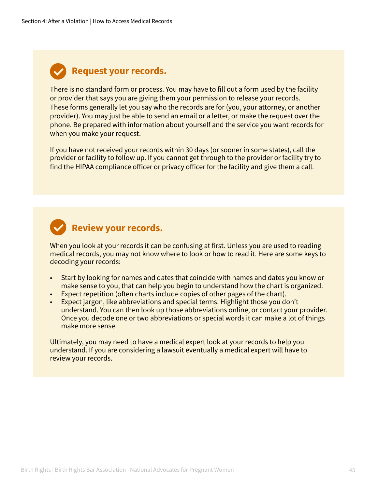#### **Request your records.**

There is no standard form or process. You may have to fill out a form used by the facility or provider that says you are giving them your permission to release your records. These forms generally let you say who the records are for (you, your attorney, or another provider). You may just be able to send an email or a letter, or make the request over the phone. Be prepared with information about yourself and the service you want records for when you make your request.

If you have not received your records within 30 days (or sooner in some states), call the provider or facility to follow up. If you cannot get through to the provider or facility try to find the HIPAA compliance officer or privacy officer for the facility and give them a call.



#### **Review your records.**

When you look at your records it can be confusing at first. Unless you are used to reading medical records, you may not know where to look or how to read it. Here are some keys to decoding your records:

- Start by looking for names and dates that coincide with names and dates you know or make sense to you, that can help you begin to understand how the chart is organized.
- Expect repetition (often charts include copies of other pages of the chart).
- Expect jargon, like abbreviations and special terms. Highlight those you don't understand. You can then look up those abbreviations online, or contact your provider. Once you decode one or two abbreviations or special words it can make a lot of things make more sense.

Ultimately, you may need to have a medical expert look at your records to help you understand. If you are considering a lawsuit eventually a medical expert will have to review your records.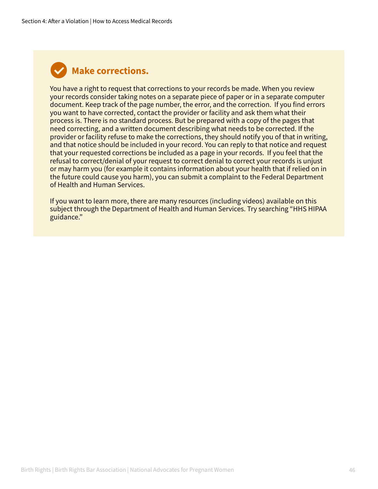#### **Make corrections.**

You have a right to request that corrections to your records be made. When you review your records consider taking notes on a separate piece of paper or in a separate computer document. Keep track of the page number, the error, and the correction. If you find errors you want to have corrected, contact the provider or facility and ask them what their process is. There is no standard process. But be prepared with a copy of the pages that need correcting, and a written document describing what needs to be corrected. If the provider or facility refuse to make the corrections, they should notify you of that in writing, and that notice should be included in your record. You can reply to that notice and request that your requested corrections be included as a page in your records. If you feel that the refusal to correct/denial of your request to correct denial to correct your records is unjust or may harm you (for example it contains information about your health that if relied on in the future could cause you harm), you can submit a complaint to the Federal Department of Health and Human Services.

If you want to learn more, there are many resources (including videos) available on this subject through the Department of Health and Human Services. Try searching "HHS HIPAA guidance."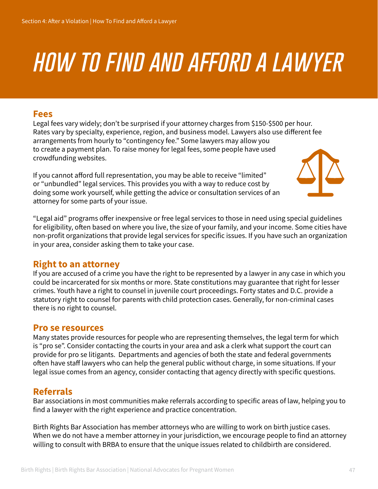### *how to find and afford a lawyer*

#### **Fees**

Legal fees vary widely; don't be surprised if your attorney charges from \$150-\$500 per hour. Rates vary by specialty, experience, region, and business model. Lawyers also use different fee arrangements from hourly to "contingency fee." Some lawyers may allow you to create a payment plan. To raise money for legal fees, some people have used crowdfunding websites.

If you cannot afford full representation, you may be able to receive "limited" or "unbundled" legal services. This provides you with a way to reduce cost by doing some work yourself, while getting the advice or consultation services of an attorney for some parts of your issue.



"Legal aid" programs offer inexpensive or free legal services to those in need using special guidelines for eligibility, often based on where you live, the size of your family, and your income. Some cities have non-profit organizations that provide legal services for specific issues. If you have such an organization in your area, consider asking them to take your case.

#### **Right to an attorney**

If you are accused of a crime you have the right to be represented by a lawyer in any case in which you could be incarcerated for six months or more. State constitutions may guarantee that right for lesser crimes. Youth have a right to counsel in juvenile court proceedings. Forty states and D.C. provide a statutory right to counsel for parents with child protection cases. Generally, for non-criminal cases there is no right to counsel.

#### **Pro se resources**

Many states provide resources for people who are representing themselves, the legal term for which is "pro se". Consider contacting the courts in your area and ask a clerk what support the court can provide for pro se litigants. Departments and agencies of both the state and federal governments often have staff lawyers who can help the general public without charge, in some situations. If your legal issue comes from an agency, consider contacting that agency directly with specific questions.

#### **Referrals**

Bar associations in most communities make referrals according to specific areas of law, helping you to find a lawyer with the right experience and practice concentration.

Birth Rights Bar Association has member attorneys who are willing to work on birth justice cases. When we do not have a member attorney in your jurisdiction, we encourage people to find an attorney willing to consult with BRBA to ensure that the unique issues related to childbirth are considered.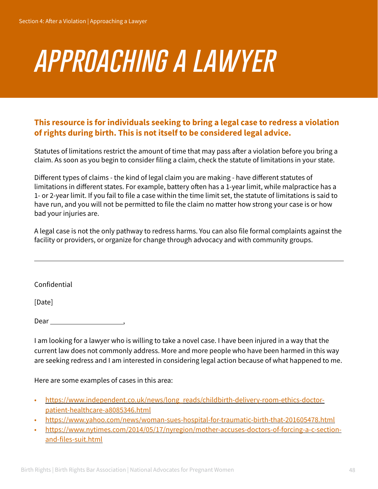# *approaching a lawyer*

#### **This resource is for individuals seeking to bring a legal case to redress a violation of rights during birth. This is not itself to be considered legal advice.**

Statutes of limitations restrict the amount of time that may pass after a violation before you bring a claim. As soon as you begin to consider filing a claim, check the statute of limitations in your state.

Different types of claims - the kind of legal claim you are making - have different statutes of limitations in different states. For example, battery often has a 1-year limit, while malpractice has a 1- or 2-year limit. If you fail to file a case within the time limit set, the statute of limitations is said to have run, and you will not be permitted to file the claim no matter how strong your case is or how bad your injuries are.

A legal case is not the only pathway to redress harms. You can also file formal complaints against the facility or providers, or organize for change through advocacy and with community groups.

Confidential

[Date]

 $\overline{a}$ 

Dear , where  $\sim$  , where  $\sim$  , where  $\sim$  , where  $\sim$  , where  $\sim$  , where  $\sim$  , where  $\sim$  , where  $\sim$  , where  $\sim$  , where  $\sim$  , where  $\sim$  , where  $\sim$  , where  $\sim$  , where  $\sim$  , where  $\sim$  , where  $\sim$  , where

I am looking for a lawyer who is willing to take a novel case. I have been injured in a way that the current law does not commonly address. More and more people who have been harmed in this way are seeking redress and I am interested in considering legal action because of what happened to me.

Here are some examples of cases in this area:

- [https://www.independent.co.uk/news/long\\_reads/childbirth-delivery-room-ethics-doctor](https://www.independent.co.uk/news/long_reads/childbirth-delivery-room-ethics-doctor-patient-healthcare-a8085346.html)[patient-healthcare-a8085346.html](https://www.independent.co.uk/news/long_reads/childbirth-delivery-room-ethics-doctor-patient-healthcare-a8085346.html)
- <https://www.yahoo.com/news/woman-sues-hospital-for-traumatic-birth-that-201605478.html>
- [https://www.nytimes.com/2014/05/17/nyregion/mother-accuses-doctors-of-forcing-a-c-section](https://www.nytimes.com/2014/05/17/nyregion/mother-accuses-doctors-of-forcing-a-c-section-and-files-suit.html)[and-files-suit.html](https://www.nytimes.com/2014/05/17/nyregion/mother-accuses-doctors-of-forcing-a-c-section-and-files-suit.html)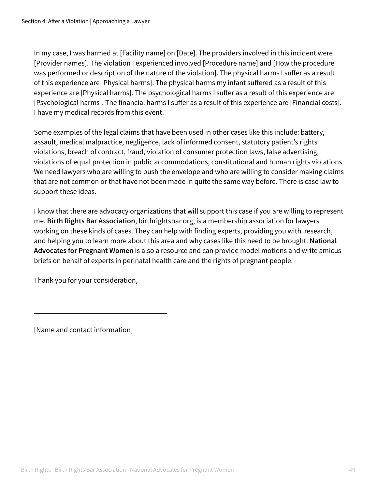In my case, I was harmed at [Facility name] on [Date]. The providers involved in this incident were [Provider names]. The violation I experienced involved [Procedure name] and [How the procedure was performed or description of the nature of the violation]. The physical harms I suffer as a result of this experience are [Physical harms]. The physical harms my infant suffered as a result of this experience are [Physical harms]. The psychological harms I suffer as a result of this experience are [Psychological harms]. The financial harms I suffer as a result of this experience are [Financial costs]. I have my medical records from this event.

Some examples of the legal claims that have been used in other cases like this include: battery, assault, medical malpractice, negligence, lack of informed consent, statutory patient's rights violations, breach of contract, fraud, violation of consumer protection laws, false advertising, violations of equal protection in public accommodations, constitutional and human rights violations. We need lawyers who are willing to push the envelope and who are willing to consider making claims that are not common or that have not been made in quite the same way before. There is case law to support these ideas.

I know that there are advocacy organizations that will support this case if you are willing to represent me. **Birth Rights Bar Association**, birthrightsbar.org, is a membership association for lawyers working on these kinds of cases. They can help with finding experts, providing you with research, and helping you to learn more about this area and why cases like this need to be brought. **National Advocates for Pregnant Women** is also a resource and can provide model motions and write amicus briefs on behalf of experts in perinatal health care and the rights of pregnant people.

Thank you for your consideration,

[Name and contact information]

 $\overline{a}$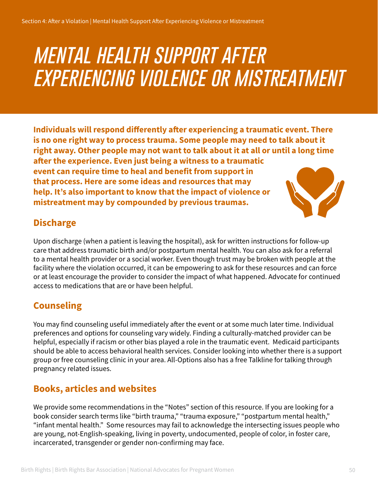### *mental health support after experiencing violence or mistreatment*

**Individuals will respond differently after experiencing a traumatic event. There is no one right way to process trauma. Some people may need to talk about it right away. Other people may not want to talk about it at all or until a long time after the experience. Even just being a witness to a traumatic event can require time to heal and benefit from support in that process. Here are some ideas and resources that may help. It's also important to know that the impact of violence or mistreatment may by compounded by previous traumas.** 

#### **Discharge**

Upon discharge (when a patient is leaving the hospital), ask for written instructions for follow-up care that address traumatic birth and/or postpartum mental health. You can also ask for a referral to a mental health provider or a social worker. Even though trust may be broken with people at the facility where the violation occurred, it can be empowering to ask for these resources and can force or at least encourage the provider to consider the impact of what happened. Advocate for continued access to medications that are or have been helpful.

#### **Counseling**

You may find counseling useful immediately after the event or at some much later time. Individual preferences and options for counseling vary widely. Finding a culturally-matched provider can be helpful, especially if racism or other bias played a role in the traumatic event. Medicaid participants should be able to access behavioral health services. Consider looking into whether there is a support group or free counseling clinic in your area. All-Options also has a free Talkline for talking through pregnancy related issues.

#### **Books, articles and websites**

We provide some recommendations in the "Notes" section of this resource. If you are looking for a book consider search terms like "birth trauma," "trauma exposure," "postpartum mental health," "infant mental health." Some resources may fail to acknowledge the intersecting issues people who are young, not-English-speaking, living in poverty, undocumented, people of color, in foster care, incarcerated, transgender or gender non-confirming may face.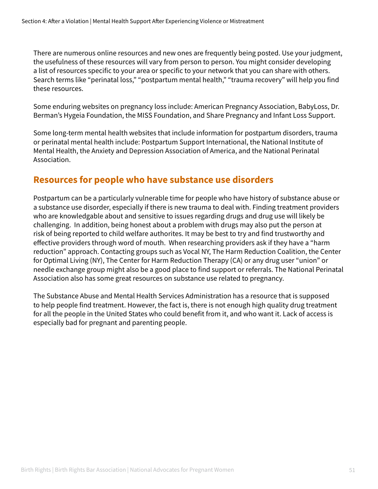There are numerous online resources and new ones are frequently being posted. Use your judgment, the usefulness of these resources will vary from person to person. You might consider developing a list of resources specific to your area or specific to your network that you can share with others. Search terms like "perinatal loss," "postpartum mental health," "trauma recovery" will help you find these resources.

Some enduring websites on pregnancy loss include: American Pregnancy Association, BabyLoss, Dr. Berman's Hygeia Foundation, the MISS Foundation, and Share Pregnancy and Infant Loss Support.

Some long-term mental health websites that include information for postpartum disorders, trauma or perinatal mental health include: Postpartum Support International, the National Institute of Mental Health, the Anxiety and Depression Association of America, and the National Perinatal Association.

#### **Resources for people who have substance use disorders**

Postpartum can be a particularly vulnerable time for people who have history of substance abuse or a substance use disorder, especially if there is new trauma to deal with. Finding treatment providers who are knowledgable about and sensitive to issues regarding drugs and drug use will likely be challenging. In addition, being honest about a problem with drugs may also put the person at risk of being reported to child welfare authorites. It may be best to try and find trustworthy and effective providers through word of mouth. When researching providers ask if they have a "harm reduction" approach. Contacting groups such as Vocal NY, The Harm Reduction Coalition, the Center for Optimal Living (NY), The Center for Harm Reduction Therapy (CA) or any drug user "union" or needle exchange group might also be a good place to find support or referrals. The National Perinatal Association also has some great resources on substance use related to pregnancy.

The Substance Abuse and Mental Health Services Administration has a resource that is supposed to help people find treatment. However, the fact is, there is not enough high quality drug treatment for all the people in the United States who could benefit from it, and who want it. Lack of access is especially bad for pregnant and parenting people.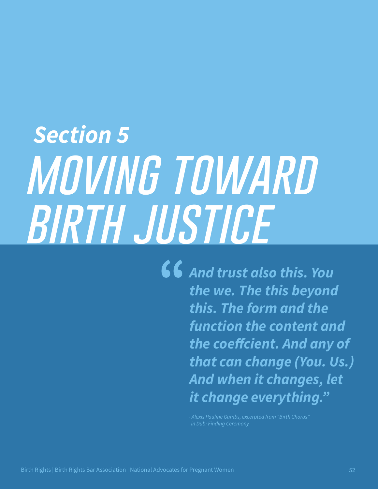# *Section 5 moving toward birth justice*

*And trust also this. You the we. The this beyond this. The form and the function the content and the coeffcient. And any of that can change (You. Us.) And when it changes, let it change everything."*

*- Alexis Pauline Gumbs, excerpted from "Birth Chorus"*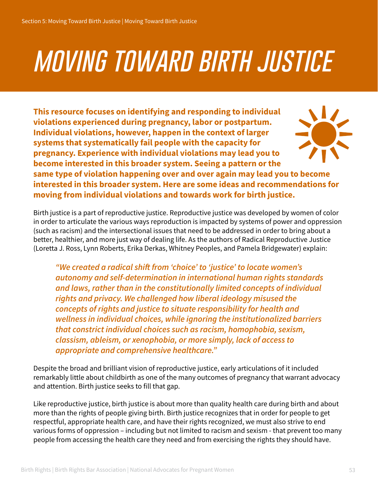# *moving toward birth justice*

**This resource focuses on identifying and responding to individual violations experienced during pregnancy, labor or postpartum. Individual violations, however, happen in the context of larger systems that systematically fail people with the capacity for pregnancy. Experience with individual violations may lead you to become interested in this broader system. Seeing a pattern or the** 



**same type of violation happening over and over again may lead you to become interested in this broader system. Here are some ideas and recommendations for moving from individual violations and towards work for birth justice.** 

Birth justice is a part of reproductive justice. Reproductive justice was developed by women of color in order to articulate the various ways reproduction is impacted by systems of power and oppression (such as racism) and the intersectional issues that need to be addressed in order to bring about a better, healthier, and more just way of dealing life. As the authors of Radical Reproductive Justice (Loretta J. Ross, Lynn Roberts, Erika Derkas, Whitney Peoples, and Pamela Bridgewater) explain:

*"We created a radical shift from 'choice' to 'justice' to locate women's autonomy and self-determination in international human rights standards and laws, rather than in the constitutionally limited concepts of individual rights and privacy. We challenged how liberal ideology misused the concepts of rights and justice to situate responsibility for health and wellness in individual choices, while ignoring the institutionalized barriers that constrict individual choices such as racism, homophobia, sexism, classism, ableism, or xenophobia, or more simply, lack of access to appropriate and comprehensive healthcare."*

Despite the broad and brilliant vision of reproductive justice, early articulations of it included remarkably little about childbirth as one of the many outcomes of pregnancy that warrant advocacy and attention. Birth justice seeks to fill that gap.

Like reproductive justice, birth justice is about more than quality health care during birth and about more than the rights of people giving birth. Birth justice recognizes that in order for people to get respectful, appropriate health care, and have their rights recognized, we must also strive to end various forms of oppression – including but not limited to racism and sexism - that prevent too many people from accessing the health care they need and from exercising the rights they should have.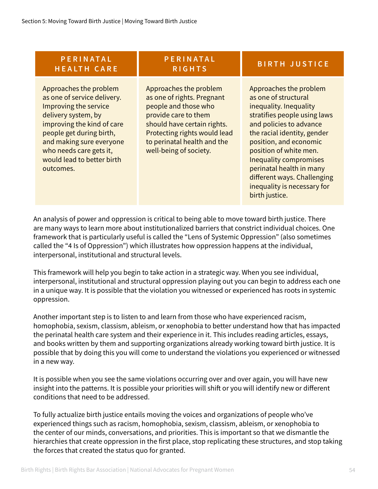| PERINATAL<br><b>HEALTH CARE</b>                                                                                                                                                                                                                                   | PERINATAL<br><b>RIGHTS</b>                                                                                                                                                                                                   | <b>BIRTH JUSTICE</b>                                                                                                                                                                                                                                                                                                                                                |
|-------------------------------------------------------------------------------------------------------------------------------------------------------------------------------------------------------------------------------------------------------------------|------------------------------------------------------------------------------------------------------------------------------------------------------------------------------------------------------------------------------|---------------------------------------------------------------------------------------------------------------------------------------------------------------------------------------------------------------------------------------------------------------------------------------------------------------------------------------------------------------------|
| Approaches the problem<br>as one of service delivery.<br>Improving the service<br>delivery system, by<br>improving the kind of care<br>people get during birth,<br>and making sure everyone<br>who needs care gets it,<br>would lead to better birth<br>outcomes. | Approaches the problem<br>as one of rights. Pregnant<br>people and those who<br>provide care to them<br>should have certain rights.<br>Protecting rights would lead<br>to perinatal health and the<br>well-being of society. | Approaches the problem<br>as one of structural<br>inequality. Inequality<br>stratifies people using laws<br>and policies to advance<br>the racial identity, gender<br>position, and economic<br>position of white men.<br><b>Inequality compromises</b><br>perinatal health in many<br>different ways. Challenging<br>inequality is necessary for<br>birth justice. |

An analysis of power and oppression is critical to being able to move toward birth justice. There are many ways to learn more about institutionalized barriers that constrict individual choices. One framework that is particularly useful is called the "Lens of Systemic Oppression" (also sometimes called the "4 Is of Oppression") which illustrates how oppression happens at the individual, interpersonal, institutional and structural levels.

This framework will help you begin to take action in a strategic way. When you see individual, interpersonal, institutional and structural oppression playing out you can begin to address each one in a unique way. It is possible that the violation you witnessed or experienced has roots in systemic oppression.

Another important step is to listen to and learn from those who have experienced racism, homophobia, sexism, classism, ableism, or xenophobia to better understand how that has impacted the perinatal health care system and their experience in it. This includes reading articles, essays, and books written by them and supporting organizations already working toward birth justice. It is possible that by doing this you will come to understand the violations you experienced or witnessed in a new way.

It is possible when you see the same violations occurring over and over again, you will have new insight into the patterns. It is possible your priorities will shift or you will identify new or different conditions that need to be addressed.

To fully actualize birth justice entails moving the voices and organizations of people who've experienced things such as racism, homophobia, sexism, classism, ableism, or xenophobia to the center of our minds, conversations, and priorities. This is important so that we dismantle the hierarchies that create oppression in the first place, stop replicating these structures, and stop taking the forces that created the status quo for granted.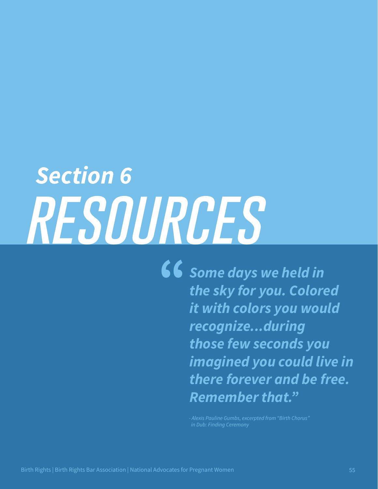# *Section 6 resources*

*Some days we held in the sky for you. Colored it with colors you would recognize...during those few seconds you imagined you could live in there forever and be free. Remember that."*

 *in Dub: Finding Ceremony*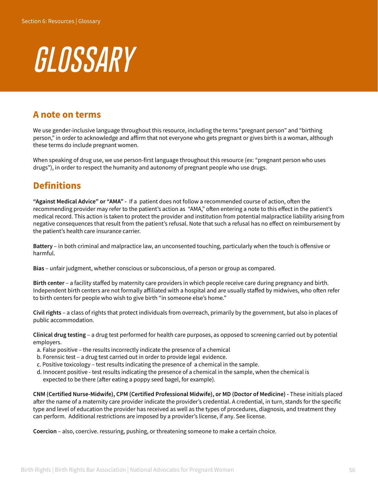# *GLOSSARY*

#### **A note on terms**

We use gender-inclusive language throughout this resource, including the terms "pregnant person" and "birthing person," in order to acknowledge and affirm that not everyone who gets pregnant or gives birth is a woman, although these terms do include pregnant women.

When speaking of drug use, we use person-first language throughout this resource (ex: "pregnant person who uses drugs"), in order to respect the humanity and autonomy of pregnant people who use drugs.

#### **Definitions**

**"Against Medical Advice" or "AMA" -** If a patient does not follow a recommended course of action, often the recommending provider may refer to the patient's action as "AMA," often entering a note to this effect in the patient's medical record. This action is taken to protect the provider and institution from potential malpractice liability arising from negative consequences that result from the patient's refusal. Note that such a refusal has no effect on reimbursement by the patient's health care insurance carrier.

**Battery** – in both criminal and malpractice law, an unconsented touching, particularly when the touch is offensive or harmful.

**Bias** – unfair judgment, whether conscious or subconscious, of a person or group as compared.

**Birth center** – a facility staffed by maternity care providers in which people receive care during pregnancy and birth. Independent birth centers are not formally affiliated with a hospital and are usually staffed by midwives, who often refer to birth centers for people who wish to give birth "in someone else's home."

**Civil rights** – a class of rights that protect individuals from overreach, primarily by the government, but also in places of public accommodation.

**Clinical drug testing** – a drug test performed for health care purposes, as opposed to screening carried out by potential employers.

- a. False positive the results incorrectly indicate the presence of a chemical
- b. Forensic test a drug test carried out in order to provide legal evidence.
- c. Positive toxicology test results indicating the presence of a chemical in the sample.
- d. Innocent positive test results indicating the presence of a chemical in the sample, when the chemical is expected to be there (after eating a poppy seed bagel, for example).

**CNM (Certified Nurse-Midwife), CPM (Certified Professional Midwife), or MD (Doctor of Medicine) -** These initials placed after the name of a maternity care provider indicate the provider's credential. A credential, in turn, stands for the specific type and level of education the provider has received as well as the types of procedures, diagnosis, and treatment they can perform. Additional restrictions are imposed by a provider's license, if any. See license.

**Coercion** – also, coercive. ressuring, pushing, or threatening someone to make a certain choice.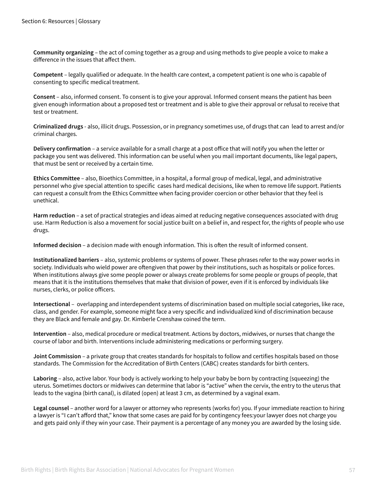**Community organizing** – the act of coming together as a group and using methods to give people a voice to make a difference in the issues that affect them.

**Competent** – legally qualified or adequate. In the health care context, a competent patient is one who is capable of consenting to specific medical treatment.

**Consent** – also, informed consent. To consent is to give your approval. Informed consent means the patient has been given enough information about a proposed test or treatment and is able to give their approval or refusal to receive that test or treatment.

**Criminalized drugs** - also, illicit drugs. Possession, or in pregnancy sometimes use, of drugs that can lead to arrest and/or criminal charges.

**Delivery confirmation** – a service available for a small charge at a post office that will notify you when the letter or package you sent was delivered. This information can be useful when you mail important documents, like legal papers, that must be sent or received by a certain time.

**Ethics Committee** – also, Bioethics Committee, in a hospital, a formal group of medical, legal, and administrative personnel who give special attention to specific cases hard medical decisions, like when to remove life support. Patients can request a consult from the Ethics Committee when facing provider coercion or other behavior that they feel is unethical.

**Harm reduction** – a set of practical strategies and ideas aimed at reducing negative consequences associated with drug use. Harm Reduction is also a movement for social justice built on a belief in, and respect for, the rights of people who use drugs.

**Informed decision** – a decision made with enough information. This is often the result of informed consent.

**Institutionalized barriers** – also, systemic problems or systems of power. These phrases refer to the way power works in society. Individuals who wield power are oftengiven that power by their institutions, such as hospitals or police forces. When institutions always give some people power or always create problems for some people or groups of people, that means that it is the institutions themselves that make that division of power, even if it is enforced by individuals like nurses, clerks, or police officers.

**Intersectional** – overlapping and interdependent systems of discrimination based on multiple social categories, like race, class, and gender. For example, someone might face a very specific and individualized kind of discrimination because they are Black and female and gay. Dr. Kimberle Crenshaw coined the term.

**Intervention** – also, medical procedure or medical treatment. Actions by doctors, midwives, or nurses that change the course of labor and birth. Interventions include administering medications or performing surgery.

**Joint Commission** – a private group that creates standards for hospitals to follow and certifies hospitals based on those standards. The Commission for the Accreditation of Birth Centers (CABC) creates standards for birth centers.

**Laboring** – also, active labor. Your body is actively working to help your baby be born by contracting (squeezing) the uterus. Sometimes doctors or midwives can determine that labor is "active" when the cervix, the entry to the uterus that leads to the vagina (birth canal), is dilated (open) at least 3 cm, as determined by a vaginal exam.

**Legal counsel** – another word for a lawyer or attorney who represents (works for) you. If your immediate reaction to hiring a lawyer is "I can't afford that," know that some cases are paid for by contingency fees:your lawyer does not charge you and gets paid only if they win your case. Their payment is a percentage of any money you are awarded by the losing side.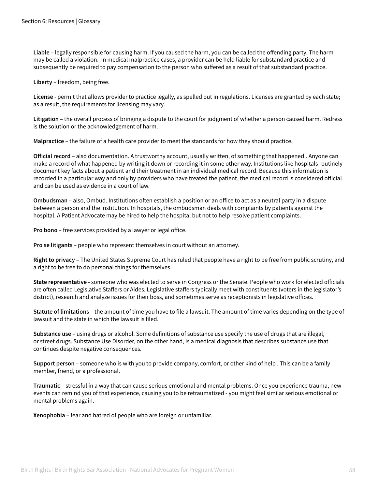**Liable** – legally responsible for causing harm. If you caused the harm, you can be called the offending party. The harm may be called a violation. In medical malpractice cases, a provider can be held liable for substandard practice and subsequently be required to pay compensation to the person who suffered as a result of that substandard practice.

**Liberty** – freedom, being free.

**License** - permit that allows provider to practice legally, as spelled out in regulations. Licenses are granted by each state; as a result, the requirements for licensing may vary.

**Litigation** – the overall process of bringing a dispute to the court for judgment of whether a person caused harm. Redress is the solution or the acknowledgement of harm.

**Malpractice** – the failure of a health care provider to meet the standards for how they should practice.

**Official record** – also documentation. A trustworthy account, usually written, of something that happened.. Anyone can make a record of what happened by writing it down or recording it in some other way. Institutions like hospitals routinely document key facts about a patient and their treatment in an individual medical record. Because this information is recorded in a particular way and only by providers who have treated the patient, the medical record is considered official and can be used as evidence in a court of law.

**Ombudsman** – also, Ombud. Institutions often establish a position or an office to act as a neutral party in a dispute between a person and the institution. In hospitals, the ombudsman deals with complaints by patients against the hospital. A Patient Advocate may be hired to help the hospital but not to help resolve patient complaints.

**Pro bono** – free services provided by a lawyer or legal office.

**Pro se litigants** – people who represent themselves in court without an attorney.

**Right to privacy** – The United States Supreme Court has ruled that people have a right to be free from public scrutiny, and a right to be free to do personal things for themselves.

**State representative** - someone who was elected to serve in Congress or the Senate. People who work for elected officials are often called Legislative Staffers or Aides. Legislative staffers typically meet with constituents (voters in the legislator's district), research and analyze issues for their boss, and sometimes serve as receptionists in legislative offices.

**Statute of limitations** – the amount of time you have to file a lawsuit. The amount of time varies depending on the type of lawsuit and the state in which the lawsuit is filed.

**Substance use** – using drugs or alcohol. Some definitions of substance use specify the use of drugs that are illegal, or street drugs. Substance Use Disorder, on the other hand, is a medical diagnosis that describes substance use that continues despite negative consequences.

**Support person** – someone who is with you to provide company, comfort, or other kind of help . This can be a family member, friend, or a professional.

**Traumatic** – stressful in a way that can cause serious emotional and mental problems. Once you experience trauma, new events can remind you of that experience, causing you to be retraumatized - you might feel similar serious emotional or mental problems again.

**Xenophobia** – fear and hatred of people who are foreign or unfamiliar.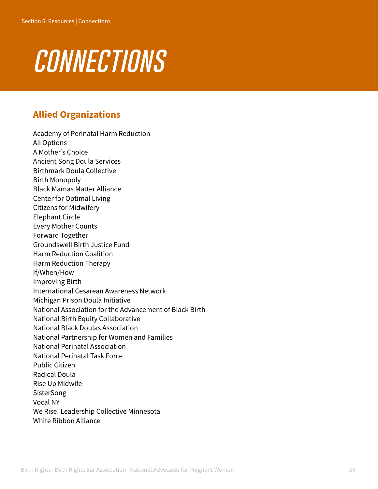# *connections*

#### **Allied Organizations**

Academy of Perinatal Harm Reduction All Options A Mother's Choice Ancient Song Doula Services Birthmark Doula Collective Birth Monopoly Black Mamas Matter Alliance Center for Optimal Living Citizens for Midwifery Elephant Circle Every Mother Counts Forward Together Groundswell Birth Justice Fund Harm Reduction Coalition Harm Reduction Therapy If/When/How Improving Birth International Cesarean Awareness Network Michigan Prison Doula Initiative National Association for the Advancement of Black Birth National Birth Equity Collaborative National Black Doulas Association National Partnership for Women and Families National Perinatal Association National Perinatal Task Force Public Citizen Radical Doula Rise Up Midwife **SisterSong** Vocal NY We Rise! Leadership Collective Minnesota White Ribbon Alliance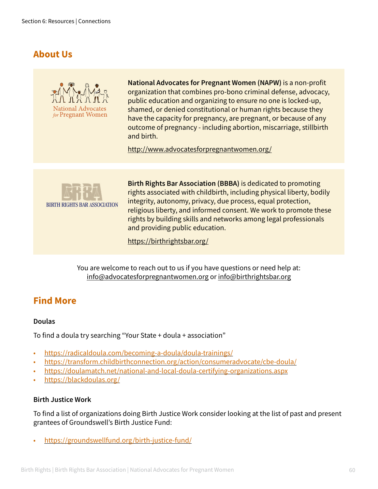#### **About Us**



**National Advocates for Pregnant Women (NAPW)** is a non-profit organization that combines pro-bono criminal defense, advocacy, public education and organizing to ensure no one is locked-up, shamed, or denied constitutional or human rights because they have the capacity for pregnancy, are pregnant, or because of any outcome of pregnancy - including abortion, miscarriage, stillbirth and birth.

<http://www.advocatesforpregnantwomen.org/>



**Birth Rights Bar Association (BBBA)** is dedicated to promoting rights associated with childbirth, including physical liberty, bodily integrity, autonomy, privacy, due process, equal protection, religious liberty, and informed consent. We work to promote these rights by building skills and networks among legal professionals and providing public education.

<https://birthrightsbar.org/>

You are welcome to reach out to us if you have questions or need help at: info@advocatesforpregnantwomen.org or info@birthrightsbar.org

#### **Find More**

#### **Doulas**

To find a doula try searching "Your State + doula + association"

- <https://radicaldoula.com/becoming-a-doula/doula-trainings/>
- <https://transform.childbirthconnection.org/action/consumeradvocate/cbe-doula/>
- <https://doulamatch.net/national-and-local-doula-certifying-organizations.aspx>
- <https://blackdoulas.org/>

#### **Birth Justice Work**

To find a list of organizations doing Birth Justice Work consider looking at the list of past and present grantees of Groundswell's Birth Justice Fund:

• <https://groundswellfund.org/birth-justice-fund/>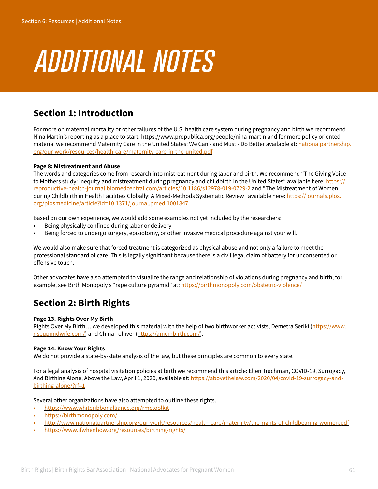# *additional notes*

#### **Section 1: Introduction**

For more on maternal mortality or other failures of the U.S. health care system during pregnancy and birth we recommend Nina Martin's reporting as a place to start: https://www.propublica.org/people/nina-martin and for more policy oriented material we recommend Maternity Care in the United States: We Can - and Must - Do Better available at: [nationalpartnership.](http://nationalpartnership.org/our-work/resources/health-care/maternity-care-in-the-united.pdf) [org/our-work/resources/health-care/maternity-care-in-the-united.pdf](http://nationalpartnership.org/our-work/resources/health-care/maternity-care-in-the-united.pdf)

#### **Page 8: Mistreatment and Abuse**

The words and categories come from research into mistreatment during labor and birth. We recommend "The Giving Voice to Mothers study: inequity and mistreatment during pregnancy and childbirth in the United States" available here: [https://](https://reproductive-health-journal.biomedcentral.com/articles/10.1186/s12978-019-0729-2) [reproductive-health-journal.biomedcentral.com/articles/10.1186/s12978-019-0729-2](https://reproductive-health-journal.biomedcentral.com/articles/10.1186/s12978-019-0729-2) and "The Mistreatment of Women during Childbirth in Health Facilities Globally: A Mixed-Methods Systematic Review" available here: [https://journals.plos.](https://journals.plos.org/plosmedicine/article?id=10.1371/journal.pmed.1001847) [org/plosmedicine/article?id=10.1371/journal.pmed.1001847](https://journals.plos.org/plosmedicine/article?id=10.1371/journal.pmed.1001847)

Based on our own experience, we would add some examples not yet included by the researchers:

- Being physically confined during labor or delivery
- Being forced to undergo surgery, episiotomy, or other invasive medical procedure against your will.

We would also make sure that forced treatment is categorized as physical abuse and not only a failure to meet the professional standard of care. This is legally significant because there is a civil legal claim of battery for unconsented or offensive touch.

Other advocates have also attempted to visualize the range and relationship of violations during pregnancy and birth; for example, see Birth Monopoly's "rape culture pyramid" at:<https://birthmonopoly.com/obstetric-violence/>

#### **Section 2: Birth Rights**

#### **Page 13. Rights Over My Birth**

Rights Over My Birth... we developed this material with the help of two birthworker activists, Demetra Seriki [\(https://www.](https://www.riseupmidwife.com/) [riseupmidwife.com/\)](https://www.riseupmidwife.com/) and China Tolliver (<https://amcmbirth.com/>).

#### **Page 14. Know Your Rights**

We do not provide a state-by-state analysis of the law, but these principles are common to every state.

For a legal analysis of hospital visitation policies at birth we recommend this article: Ellen Trachman, COVID-19, Surrogacy, And Birthing Alone, Above the Law, April 1, 2020, available at: [https://abovethelaw.com/2020/04/covid-19-surrogacy-and](https://abovethelaw.com/2020/04/covid-19-surrogacy-and-birthing-alone/?rf=1)[birthing-alone/?rf=1](https://abovethelaw.com/2020/04/covid-19-surrogacy-and-birthing-alone/?rf=1)

Several other organizations have also attempted to outline these rights.

- <https://www.whiteribbonalliance.org/rmctoolkit>
- <https://birthmonopoly.com/>
- <http://www.nationalpartnership.org/our-work/resources/health-care/maternity/the-rights-of-childbearing-women.pdf>
- <https://www.ifwhenhow.org/resources/birthing-rights/>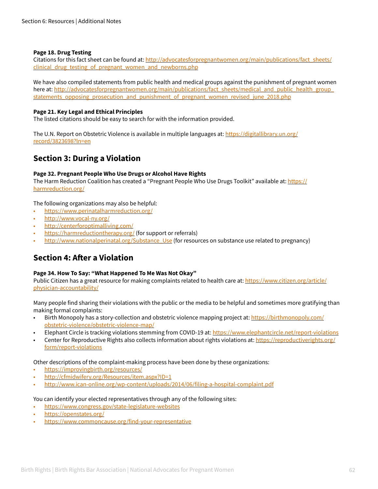#### **Page 18. Drug Testing**

Citations for this fact sheet can be found at: [http://advocatesforpregnantwomen.org/main/publications/fact\\_sheets/](http://advocatesforpregnantwomen.org/main/publications/fact_sheets/clinical_drug_testing_of_pregnant_women_and_newborns.php) clinical drug testing of pregnant women and newborns.php

We have also compiled statements from public health and medical groups against the punishment of pregnant women here at: [http://advocatesforpregnantwomen.org/main/publications/fact\\_sheets/medical\\_and\\_public\\_health\\_group\\_](http://advocatesforpregnantwomen.org/main/publications/fact_sheets/medical_and_public_health_group_statements_opposing_prosecution_and_punishment_of_pregnant_women_revised_june_2018.php) [statements\\_opposing\\_prosecution\\_and\\_punishment\\_of\\_pregnant\\_women\\_revised\\_june\\_2018.php](http://advocatesforpregnantwomen.org/main/publications/fact_sheets/medical_and_public_health_group_statements_opposing_prosecution_and_punishment_of_pregnant_women_revised_june_2018.php)

#### **Page 21. Key Legal and Ethical Principles**

The listed citations should be easy to search for with the information provided.

The U.N. Report on Obstetric Violence is available in multiple languages at: [https://digitallibrary.un.org/](https://digitallibrary.un.org/record/3823698?ln=en) [record/3823698?ln=en](https://digitallibrary.un.org/record/3823698?ln=en)

#### **Section 3: During a Violation**

#### **Page 32. Pregnant People Who Use Drugs or Alcohol Have Rights**

The Harm Reduction Coalition has created a "Pregnant People Who Use Drugs Toolkit" available at: [https://](https://harmreduction.org/) [harmreduction.org/](https://harmreduction.org/)

The following organizations may also be helpful:

- <https://www.perinatalharmreduction.org/>
- <http://www.vocal-ny.org/>
- <http://centerforoptimalliving.com/>
- <https://harmreductiontherapy.org/> (for support or referrals)
- [http://www.nationalperinatal.org/Substance\\_Use](http://www.nationalperinatal.org/Substance_Use) (for resources on substance use related to pregnancy)

#### **Section 4: After a Violation**

#### **Page 34. How To Say: "What Happened To Me Was Not Okay"**

Public Citizen has a great resource for making complaints related to health care at: [https://www.citizen.org/article/](https://www.citizen.org/article/physician-accountability/) [physician-accountability/](https://www.citizen.org/article/physician-accountability/)

Many people find sharing their violations with the public or the media to be helpful and sometimes more gratifying than making formal complaints:

- Birth Monopoly has a story-collection and obstetric violence mapping project at: [https://birthmonopoly.com/](https://birthmonopoly.com/obstetric-violence/obstetric-violence-map/ ) [obstetric-violence/obstetric-violence-map/](https://birthmonopoly.com/obstetric-violence/obstetric-violence-map/ )
- Elephant Circle is tracking violations stemming from COVID-19 at: <https://www.elephantcircle.net/report-violations>
- Center for Reproductive Rights also collects information about rights violations at: [https://reproductiverights.org/](https://reproductiverights.org/form/report-violations) [form/report-violations](https://reproductiverights.org/form/report-violations)

Other descriptions of the complaint-making process have been done by these organizations:

- <https://improvingbirth.org/resources/>
- <http://cfmidwifery.org/Resources/item.aspx?ID=1>
- <http://www.ican-online.org/wp-content/uploads/2014/06/filing-a-hospital-complaint.pdf>

You can identify your elected representatives through any of the following sites:

- <https://www.congress.gov/state-legislature-websites>
- <https://openstates.org/>
- <https://www.commoncause.org/find-your-representative>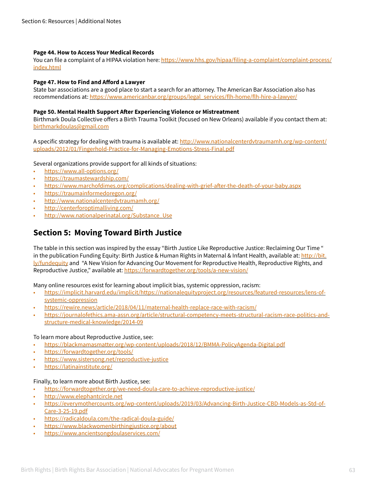#### **Page 44. How to Access Your Medical Records**

You can file a complaint of a HIPAA violation here: [https://www.hhs.gov/hipaa/filing-a-complaint/complaint-process/](https://www.hhs.gov/hipaa/filing-a-complaint/complaint-process/index.html) [index.html](https://www.hhs.gov/hipaa/filing-a-complaint/complaint-process/index.html)

#### **Page 47. How to Find and Afford a Lawyer**

State bar associations are a good place to start a search for an attorney. The American Bar Association also has recommendations at: [https://www.americanbar.org/groups/legal\\_services/flh-home/flh-hire-a-lawyer/](https://www.americanbar.org/groups/legal_services/flh-home/flh-hire-a-lawyer/)

#### **Page 50. Mental Health Support After Experiencing Violence or Mistreatment**

Birthmark Doula Collective offers a Birth Trauma Toolkit (focused on New Orleans) available if you contact them at: [birthmarkdoulas@gmail.com](mailto:birthmarkdoulas@gmail.com)

A specific strategy for dealing with trauma is available at: [http://www.nationalcenterdvtraumamh.org/wp-content/](http://www.nationalcenterdvtraumamh.org/wp-content/uploads/2012/01/Fingerhold-Practice-for-Managing-Emotions-Stress-Final.pdf) [uploads/2012/01/Fingerhold-Practice-for-Managing-Emotions-Stress-Final.pdf](http://www.nationalcenterdvtraumamh.org/wp-content/uploads/2012/01/Fingerhold-Practice-for-Managing-Emotions-Stress-Final.pdf)

Several organizations provide support for all kinds of situations:

- <https://www.all-options.org/>
- <https://traumastewardship.com/>
- <https://www.marchofdimes.org/complications/dealing-with-grief-after-the-death-of-your-baby.aspx>
- <https://traumainformedoregon.org/>
- <http://www.nationalcenterdvtraumamh.org/>
- <http://centerforoptimalliving.com/>
- [http://www.nationalperinatal.org/Substance\\_Use](http://www.nationalperinatal.org/Substance_Use)

#### **Section 5: Moving Toward Birth Justice**

The table in this section was inspired by the essay "Birth Justice Like Reproductive Justice: Reclaiming Our Time " in the publication Funding Equity: Birth Justice & Human Rights in Maternal & Infant Health, available at: http://bit. ly/fundequity and "A New Vision for Advancing Our Movement for Reproductive Health, Reproductive Rights, and Reproductive Justice," available at:<https://forwardtogether.org/tools/a-new-vision/>

Many online resources exist for learning about implicit bias, systemic oppression, racism:

- [https://implicit.harvard.edu/implicit/https://nationalequityproject.org/resources/featured-resources/lens-of](https://implicit.harvard.edu/implicit/https://nationalequityproject.org/resources/featured-resources/lens-of-systemic-oppression)[systemic-oppression](https://implicit.harvard.edu/implicit/https://nationalequityproject.org/resources/featured-resources/lens-of-systemic-oppression)
- <https://rewire.news/article/2018/04/11/maternal-health-replace-race-with-racism/>
- [https://journalofethics.ama-assn.org/article/structural-competency-meets-structural-racism-race-politics-and](https://journalofethics.ama-assn.org/article/structural-competency-meets-structural-racism-race-politics-and-structure-medical-knowledge/2014-09)[structure-medical-knowledge/2014-09](https://journalofethics.ama-assn.org/article/structural-competency-meets-structural-racism-race-politics-and-structure-medical-knowledge/2014-09)

#### To learn more about Reproductive Justice, see:

- <https://blackmamasmatter.org/wp-content/uploads/2018/12/BMMA-PolicyAgenda-Digital.pdf>
- <https://forwardtogether.org/tools/>
- <https://www.sistersong.net/reproductive-justice>
- <https://latinainstitute.org/>

#### Finally, to learn more about Birth Justice, see:

- <https://forwardtogether.org/we-need-doula-care-to-achieve-reproductive-justice/>
- <http://www.elephantcircle.net>
- [https://everymothercounts.org/wp-content/uploads/2019/03/Advancing-Birth-Justice-CBD-Models-as-Std-of-](https://everymothercounts.org/wp-content/uploads/2019/03/Advancing-Birth-Justice-CBD-Models-as-Std-of-Care-3-25-19.pdf)[Care-3-25-19.pdf](https://everymothercounts.org/wp-content/uploads/2019/03/Advancing-Birth-Justice-CBD-Models-as-Std-of-Care-3-25-19.pdf)
- [https://radicaldoula.com/the-radical-doula-guide/](https://radicaldoula.com/the-radical-doula-guide/ )
- <https://www.blackwomenbirthingjustice.org/about>
- <https://www.ancientsongdoulaservices.com/>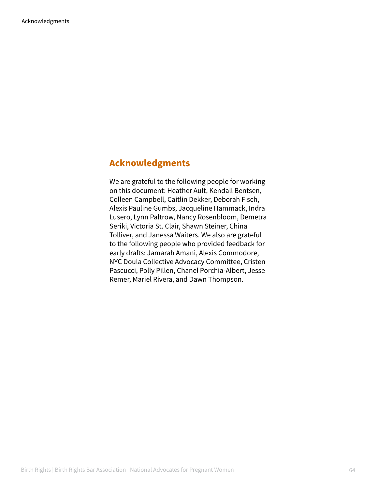#### **Acknowledgments**

We are grateful to the following people for working on this document: Heather Ault, Kendall Bentsen, Colleen Campbell, Caitlin Dekker, Deborah Fisch, Alexis Pauline Gumbs, Jacqueline Hammack, Indra Lusero, Lynn Paltrow, Nancy Rosenbloom, Demetra Seriki, Victoria St. Clair, Shawn Steiner, China Tolliver, and Janessa Waiters. We also are grateful to the following people who provided feedback for early drafts: Jamarah Amani, Alexis Commodore, NYC Doula Collective Advocacy Committee, Cristen Pascucci, Polly Pillen, Chanel Porchia-Albert, Jesse Remer, Mariel Rivera, and Dawn Thompson.